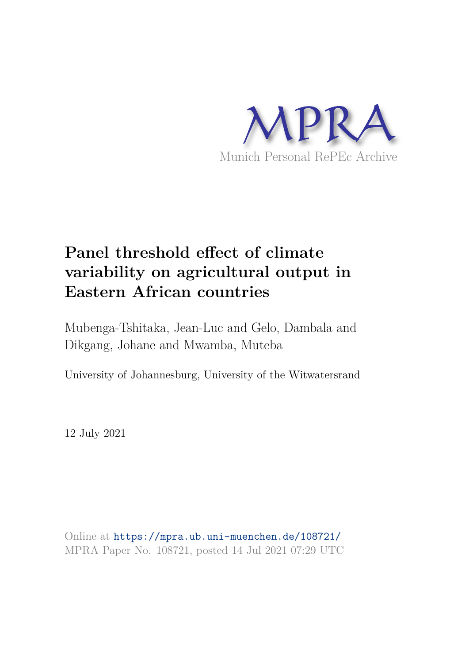

# **Panel threshold effect of climate variability on agricultural output in Eastern African countries**

Mubenga-Tshitaka, Jean-Luc and Gelo, Dambala and Dikgang, Johane and Mwamba, Muteba

University of Johannesburg, University of the Witwatersrand

12 July 2021

Online at https://mpra.ub.uni-muenchen.de/108721/ MPRA Paper No. 108721, posted 14 Jul 2021 07:29 UTC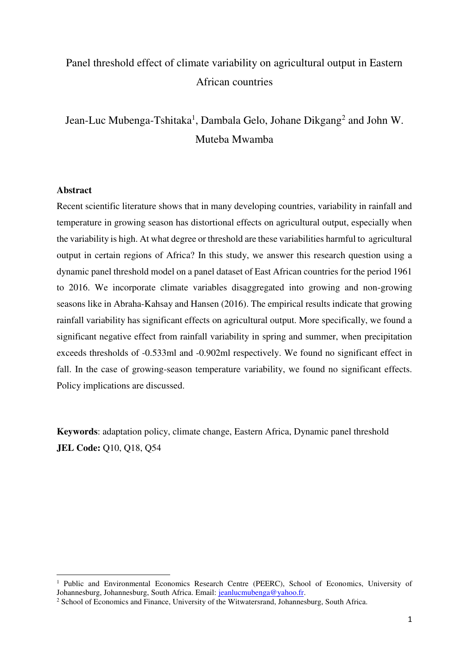### Panel threshold effect of climate variability on agricultural output in Eastern African countries

Jean-Luc Mubenga-Tshitaka<sup>1</sup>, Dambala Gelo, Johane Dikgang<sup>2</sup> and John W. Muteba Mwamba

#### **Abstract**

 $\overline{a}$ 

Recent scientific literature shows that in many developing countries, variability in rainfall and temperature in growing season has distortional effects on agricultural output, especially when the variability is high. At what degree or threshold are these variabilities harmful to agricultural output in certain regions of Africa? In this study, we answer this research question using a dynamic panel threshold model on a panel dataset of East African countries for the period 1961 to 2016. We incorporate climate variables disaggregated into growing and non-growing seasons like in Abraha-Kahsay and Hansen (2016). The empirical results indicate that growing rainfall variability has significant effects on agricultural output. More specifically, we found a significant negative effect from rainfall variability in spring and summer, when precipitation exceeds thresholds of -0.533ml and -0.902ml respectively. We found no significant effect in fall. In the case of growing-season temperature variability, we found no significant effects. Policy implications are discussed.

**Keywords**: adaptation policy, climate change, Eastern Africa, Dynamic panel threshold **JEL Code:** Q10, Q18, Q54

<sup>&</sup>lt;sup>1</sup> Public and Environmental Economics Research Centre (PEERC), School of Economics, University of Johannesburg, Johannesburg, South Africa. Email: [jeanlucmubenga@yahoo.fr.](mailto:jeanlucmubenga@yahoo.fr)

<sup>&</sup>lt;sup>2</sup> School of Economics and Finance, University of the Witwatersrand, Johannesburg, South Africa.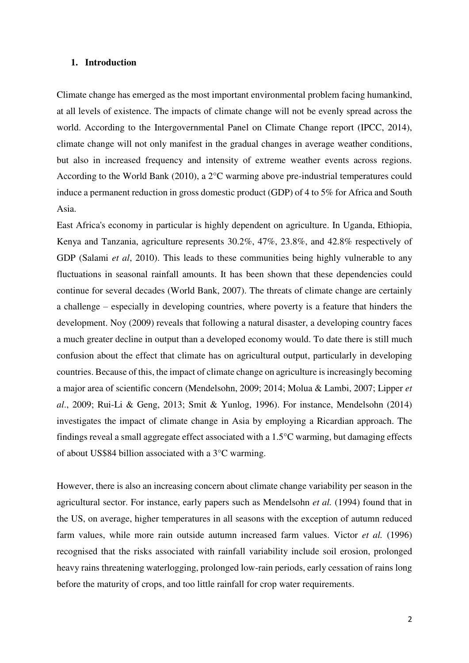#### **1. Introduction**

Climate change has emerged as the most important environmental problem facing humankind, at all levels of existence. The impacts of climate change will not be evenly spread across the world. According to the Intergovernmental Panel on Climate Change report (IPCC, 2014), climate change will not only manifest in the gradual changes in average weather conditions, but also in increased frequency and intensity of extreme weather events across regions. According to the World Bank (2010), a 2°C warming above pre-industrial temperatures could induce a permanent reduction in gross domestic product (GDP) of 4 to 5% for Africa and South Asia.

East Africa's economy in particular is highly dependent on agriculture. In Uganda, Ethiopia, Kenya and Tanzania, agriculture represents 30.2%, 47%, 23.8%, and 42.8% respectively of GDP (Salami *et al*, 2010). This leads to these communities being highly vulnerable to any fluctuations in seasonal rainfall amounts. It has been shown that these dependencies could continue for several decades (World Bank, 2007). The threats of climate change are certainly a challenge – especially in developing countries, where poverty is a feature that hinders the development. Noy (2009) reveals that following a natural disaster, a developing country faces a much greater decline in output than a developed economy would. To date there is still much confusion about the effect that climate has on agricultural output, particularly in developing countries. Because of this, the impact of climate change on agriculture is increasingly becoming a major area of scientific concern (Mendelsohn, 2009; 2014; Molua & Lambi, 2007; Lipper *et al*., 2009; Rui-Li & Geng, 2013; Smit & Yunlog, 1996). For instance, Mendelsohn (2014) investigates the impact of climate change in Asia by employing a Ricardian approach. The findings reveal a small aggregate effect associated with a 1.5°C warming, but damaging effects of about US\$84 billion associated with a 3°C warming.

However, there is also an increasing concern about climate change variability per season in the agricultural sector. For instance, early papers such as Mendelsohn *et al.* (1994) found that in the US, on average, higher temperatures in all seasons with the exception of autumn reduced farm values, while more rain outside autumn increased farm values. Victor *et al.* (1996) recognised that the risks associated with rainfall variability include soil erosion, prolonged heavy rains threatening waterlogging, prolonged low-rain periods, early cessation of rains long before the maturity of crops, and too little rainfall for crop water requirements.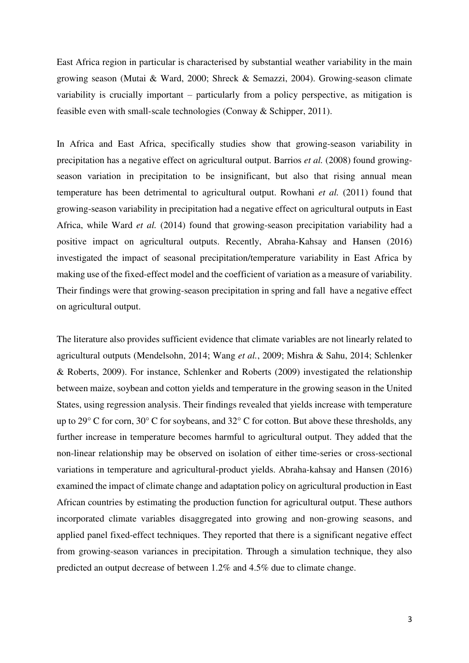East Africa region in particular is characterised by substantial weather variability in the main growing season (Mutai & Ward, 2000; Shreck & Semazzi, 2004). Growing-season climate variability is crucially important – particularly from a policy perspective, as mitigation is feasible even with small-scale technologies (Conway & Schipper, 2011).

In Africa and East Africa, specifically studies show that growing-season variability in precipitation has a negative effect on agricultural output. Barrios *et al.* (2008) found growingseason variation in precipitation to be insignificant, but also that rising annual mean temperature has been detrimental to agricultural output. Rowhani *et al.* (2011) found that growing-season variability in precipitation had a negative effect on agricultural outputs in East Africa, while Ward *et al.* (2014) found that growing-season precipitation variability had a positive impact on agricultural outputs. Recently, Abraha-Kahsay and Hansen (2016) investigated the impact of seasonal precipitation/temperature variability in East Africa by making use of the fixed-effect model and the coefficient of variation as a measure of variability. Their findings were that growing-season precipitation in spring and fall have a negative effect on agricultural output.

The literature also provides sufficient evidence that climate variables are not linearly related to agricultural outputs (Mendelsohn, 2014; Wang *et al.*, 2009; Mishra & Sahu, 2014; Schlenker & Roberts, 2009). For instance, Schlenker and Roberts (2009) investigated the relationship between maize, soybean and cotton yields and temperature in the growing season in the United States, using regression analysis. Their findings revealed that yields increase with temperature up to 29° C for corn, 30° C for soybeans, and 32° C for cotton. But above these thresholds, any further increase in temperature becomes harmful to agricultural output. They added that the non-linear relationship may be observed on isolation of either time-series or cross-sectional variations in temperature and agricultural-product yields. Abraha-kahsay and Hansen (2016) examined the impact of climate change and adaptation policy on agricultural production in East African countries by estimating the production function for agricultural output. These authors incorporated climate variables disaggregated into growing and non-growing seasons, and applied panel fixed-effect techniques. They reported that there is a significant negative effect from growing-season variances in precipitation. Through a simulation technique, they also predicted an output decrease of between 1.2% and 4.5% due to climate change.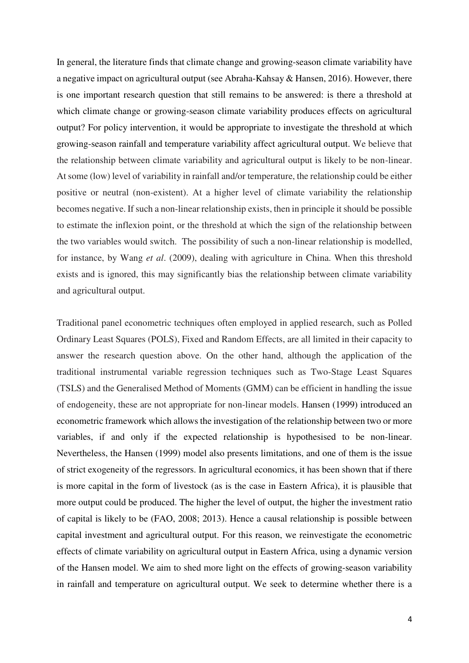In general, the literature finds that climate change and growing-season climate variability have a negative impact on agricultural output (see Abraha-Kahsay & Hansen, 2016). However, there is one important research question that still remains to be answered: is there a threshold at which climate change or growing-season climate variability produces effects on agricultural output? For policy intervention, it would be appropriate to investigate the threshold at which growing-season rainfall and temperature variability affect agricultural output. We believe that the relationship between climate variability and agricultural output is likely to be non-linear. At some (low) level of variability in rainfall and/or temperature, the relationship could be either positive or neutral (non-existent). At a higher level of climate variability the relationship becomes negative. If such a non-linear relationship exists, then in principle it should be possible to estimate the inflexion point, or the threshold at which the sign of the relationship between the two variables would switch. The possibility of such a non-linear relationship is modelled, for instance, by Wang *et al*. (2009), dealing with agriculture in China. When this threshold exists and is ignored, this may significantly bias the relationship between climate variability and agricultural output.

Traditional panel econometric techniques often employed in applied research, such as Polled Ordinary Least Squares (POLS), Fixed and Random Effects, are all limited in their capacity to answer the research question above. On the other hand, although the application of the traditional instrumental variable regression techniques such as Two-Stage Least Squares (TSLS) and the Generalised Method of Moments (GMM) can be efficient in handling the issue of endogeneity, these are not appropriate for non-linear models. Hansen (1999) introduced an econometric framework which allows the investigation of the relationship between two or more variables, if and only if the expected relationship is hypothesised to be non-linear. Nevertheless, the Hansen (1999) model also presents limitations, and one of them is the issue of strict exogeneity of the regressors. In agricultural economics, it has been shown that if there is more capital in the form of livestock (as is the case in Eastern Africa), it is plausible that more output could be produced. The higher the level of output, the higher the investment ratio of capital is likely to be (FAO, 2008; 2013). Hence a causal relationship is possible between capital investment and agricultural output. For this reason, we reinvestigate the econometric effects of climate variability on agricultural output in Eastern Africa, using a dynamic version of the Hansen model. We aim to shed more light on the effects of growing-season variability in rainfall and temperature on agricultural output. We seek to determine whether there is a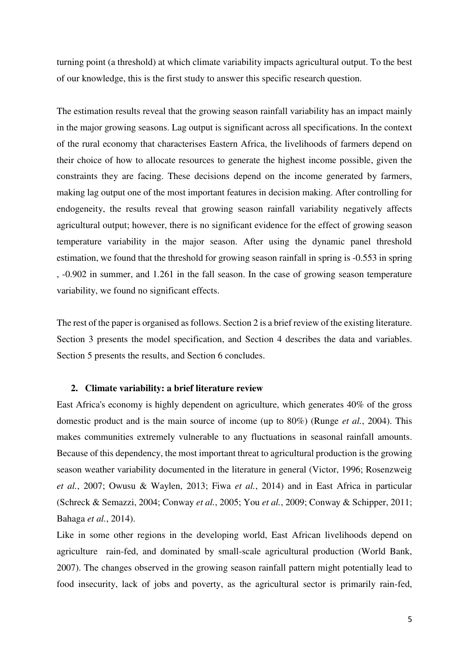turning point (a threshold) at which climate variability impacts agricultural output. To the best of our knowledge, this is the first study to answer this specific research question.

The estimation results reveal that the growing season rainfall variability has an impact mainly in the major growing seasons. Lag output is significant across all specifications. In the context of the rural economy that characterises Eastern Africa, the livelihoods of farmers depend on their choice of how to allocate resources to generate the highest income possible, given the constraints they are facing. These decisions depend on the income generated by farmers, making lag output one of the most important features in decision making. After controlling for endogeneity, the results reveal that growing season rainfall variability negatively affects agricultural output; however, there is no significant evidence for the effect of growing season temperature variability in the major season. After using the dynamic panel threshold estimation, we found that the threshold for growing season rainfall in spring is -0.553 in spring , -0.902 in summer, and 1.261 in the fall season. In the case of growing season temperature variability, we found no significant effects.

The rest of the paper is organised as follows. Section 2 is a brief review of the existing literature. Section 3 presents the model specification, and Section 4 describes the data and variables. Section 5 presents the results, and Section 6 concludes.

#### **2. Climate variability: a brief literature review**

East Africa's economy is highly dependent on agriculture, which generates 40% of the gross domestic product and is the main source of income (up to 80%) (Runge *et al.*, 2004). This makes communities extremely vulnerable to any fluctuations in seasonal rainfall amounts. Because of this dependency, the most important threat to agricultural production is the growing season weather variability documented in the literature in general (Victor, 1996; Rosenzweig *et al.*, 2007; Owusu & Waylen, 2013; Fiwa *et al.*, 2014) and in East Africa in particular (Schreck & Semazzi, 2004; Conway *et al.*, 2005; You *et al.*, 2009; Conway & Schipper, 2011; Bahaga *et al.*, 2014).

Like in some other regions in the developing world, East African livelihoods depend on agriculture rain-fed, and dominated by small-scale agricultural production (World Bank, 2007). The changes observed in the growing season rainfall pattern might potentially lead to food insecurity, lack of jobs and poverty, as the agricultural sector is primarily rain-fed,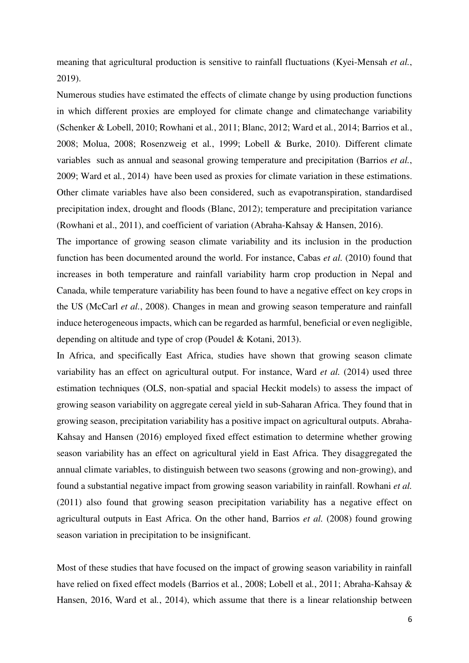meaning that agricultural production is sensitive to rainfall fluctuations (Kyei-Mensah *et al.*, 2019).

Numerous studies have estimated the effects of climate change by using production functions in which different proxies are employed for climate change and climatechange variability (Schenker & Lobell, 2010; Rowhani et al*.*, 2011; Blanc, 2012; Ward et al*.*, 2014; Barrios et al*.*, 2008; Molua, 2008; Rosenzweig et al*.*, 1999; Lobell & Burke, 2010). Different climate variables such as annual and seasonal growing temperature and precipitation (Barrios *et al.*, 2009; Ward et al*.*, 2014) have been used as proxies for climate variation in these estimations. Other climate variables have also been considered, such as evapotranspiration, standardised precipitation index, drought and floods (Blanc, 2012); temperature and precipitation variance (Rowhani et al., 2011), and coefficient of variation (Abraha-Kahsay & Hansen, 2016).

The importance of growing season climate variability and its inclusion in the production function has been documented around the world. For instance, Cabas *et al.* (2010) found that increases in both temperature and rainfall variability harm crop production in Nepal and Canada, while temperature variability has been found to have a negative effect on key crops in the US (McCarl *et al.*, 2008). Changes in mean and growing season temperature and rainfall induce heterogeneous impacts, which can be regarded as harmful, beneficial or even negligible, depending on altitude and type of crop (Poudel & Kotani, 2013).

In Africa, and specifically East Africa, studies have shown that growing season climate variability has an effect on agricultural output. For instance, Ward *et al.* (2014) used three estimation techniques (OLS, non-spatial and spacial Heckit models) to assess the impact of growing season variability on aggregate cereal yield in sub-Saharan Africa. They found that in growing season, precipitation variability has a positive impact on agricultural outputs. Abraha-Kahsay and Hansen (2016) employed fixed effect estimation to determine whether growing season variability has an effect on agricultural yield in East Africa. They disaggregated the annual climate variables, to distinguish between two seasons (growing and non-growing), and found a substantial negative impact from growing season variability in rainfall. Rowhani *et al.* (2011) also found that growing season precipitation variability has a negative effect on agricultural outputs in East Africa. On the other hand, Barrios *et al.* (2008) found growing season variation in precipitation to be insignificant.

Most of these studies that have focused on the impact of growing season variability in rainfall have relied on fixed effect models (Barrios et al*.*, 2008; Lobell et al*.*, 2011; Abraha-Kahsay & Hansen, 2016, Ward et al*.*, 2014), which assume that there is a linear relationship between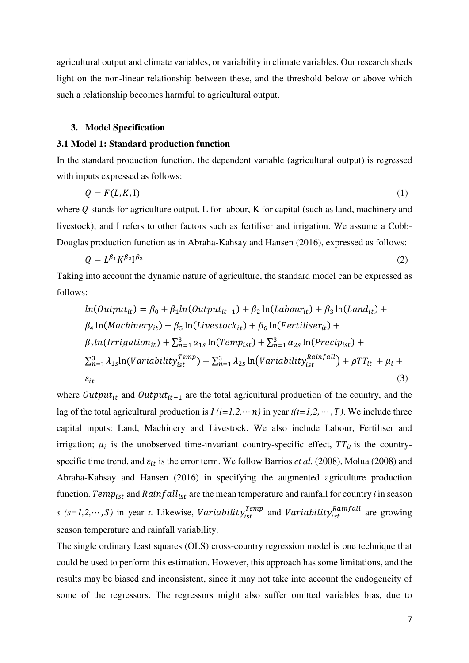agricultural output and climate variables, or variability in climate variables. Our research sheds light on the non-linear relationship between these, and the threshold below or above which such a relationship becomes harmful to agricultural output.

#### **3. Model Specification**

#### **3.1 Model 1: Standard production function**

In the standard production function, the dependent variable (agricultural output) is regressed with inputs expressed as follows:

$$
Q = F(L, K, I) \tag{1}
$$

where  $Q$  stands for agriculture output, L for labour, K for capital (such as land, machinery and livestock), and Ι refers to other factors such as fertiliser and irrigation. We assume a Cobb-Douglas production function as in Abraha-Kahsay and Hansen (2016), expressed as follows:

$$
Q = L^{\beta_1} K^{\beta_2} l^{\beta_3} \tag{2}
$$

Taking into account the dynamic nature of agriculture, the standard model can be expressed as follows:

$$
ln(Output_{it}) = \beta_0 + \beta_1 ln(Output_{it-1}) + \beta_2 ln(Label_{it}) + \beta_3 ln(Land_{it}) +
$$
  
\n
$$
\beta_4 ln(Machinery_{it}) + \beta_5 ln(Livestock_{it}) + \beta_6 ln(Fertiliser_{it}) +
$$
  
\n
$$
\beta_7 ln(Irrigation_{it}) + \sum_{n=1}^3 \alpha_{1s} ln(Temp_{ist}) + \sum_{n=1}^3 \alpha_{2s} ln(Precip_{ist}) +
$$
  
\n
$$
\sum_{n=1}^3 \lambda_{1s} ln(Variable_{ist}^{Temp}) + \sum_{n=1}^3 \lambda_{2s} ln(Variable_{ist}^{Rainfall}) + \rho TT_{it} + \mu_i +
$$
  
\n
$$
\varepsilon_{it}
$$
  
\n(3)

where  $Output_{it}$  and  $Output_{it-1}$  are the total agricultural production of the country, and the lag of the total agricultural production is  $I(i=1,2,\dots, n)$  in year  $t(t=1,2,\dots, T)$ . We include three capital inputs: Land, Machinery and Livestock. We also include Labour, Fertiliser and irrigation;  $\mu_i$  is the unobserved time-invariant country-specific effect,  $TT_{it}$  is the countryspecific time trend, and  $\varepsilon_{it}$  is the error term. We follow Barrios *et al.* (2008), Molua (2008) and Abraha-Kahsay and Hansen (2016) in specifying the augmented agriculture production function. Temp<sub>ist</sub> and  $Rainfall_{ist}$  are the mean temperature and rainfall for country *i* in season *s* (*s*=1,2,…, *S*) in year *t*. Likewise, *Variability*<sub>ist</sub><sup>Temp</sup> and *Variability*<sub>ist</sub><sup>Rainfall</sup> are growing season temperature and rainfall variability.

The single ordinary least squares (OLS) cross-country regression model is one technique that could be used to perform this estimation. However, this approach has some limitations, and the results may be biased and inconsistent, since it may not take into account the endogeneity of some of the regressors. The regressors might also suffer omitted variables bias, due to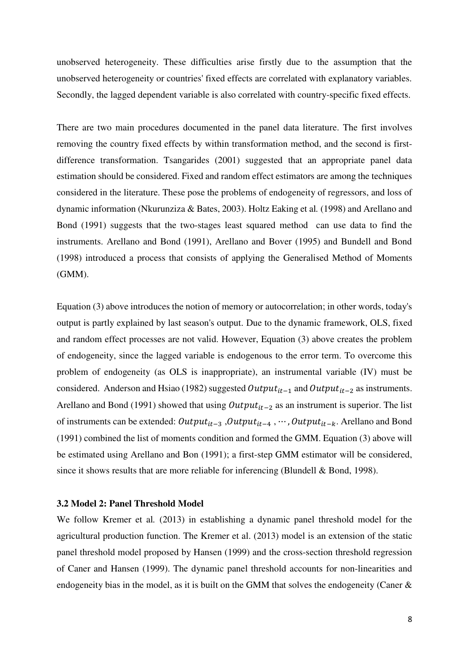unobserved heterogeneity. These difficulties arise firstly due to the assumption that the unobserved heterogeneity or countries' fixed effects are correlated with explanatory variables. Secondly, the lagged dependent variable is also correlated with country-specific fixed effects.

There are two main procedures documented in the panel data literature. The first involves removing the country fixed effects by within transformation method, and the second is firstdifference transformation. Tsangarides (2001) suggested that an appropriate panel data estimation should be considered. Fixed and random effect estimators are among the techniques considered in the literature. These pose the problems of endogeneity of regressors, and loss of dynamic information (Nkurunziza & Bates, 2003). Holtz Eaking et al*.* (1998) and Arellano and Bond (1991) suggests that the two-stages least squared method can use data to find the instruments. Arellano and Bond (1991), Arellano and Bover (1995) and Bundell and Bond (1998) introduced a process that consists of applying the Generalised Method of Moments (GMM).

Equation (3) above introduces the notion of memory or autocorrelation; in other words, today's output is partly explained by last season's output. Due to the dynamic framework, OLS, fixed and random effect processes are not valid. However, Equation (3) above creates the problem of endogeneity, since the lagged variable is endogenous to the error term. To overcome this problem of endogeneity (as OLS is inappropriate), an instrumental variable (IV) must be considered. Anderson and Hsiao (1982) suggested  $Output_{it-1}$  and  $Output_{it-2}$  as instruments. Arellano and Bond (1991) showed that using  $Output_{it-2}$  as an instrument is superior. The list of instruments can be extended:  $Output_{it-3}$ ,  $Output_{it-4}$ ,  $\cdots$ ,  $Output_{it-k}$ . Arellano and Bond (1991) combined the list of moments condition and formed the GMM. Equation (3) above will be estimated using Arellano and Bon (1991); a first-step GMM estimator will be considered, since it shows results that are more reliable for inferencing (Blundell & Bond, 1998).

#### **3.2 Model 2: Panel Threshold Model**

We follow Kremer et al*.* (2013) in establishing a dynamic panel threshold model for the agricultural production function. The Kremer et al. (2013) model is an extension of the static panel threshold model proposed by Hansen (1999) and the cross-section threshold regression of Caner and Hansen (1999). The dynamic panel threshold accounts for non-linearities and endogeneity bias in the model, as it is built on the GMM that solves the endogeneity (Caner  $\&$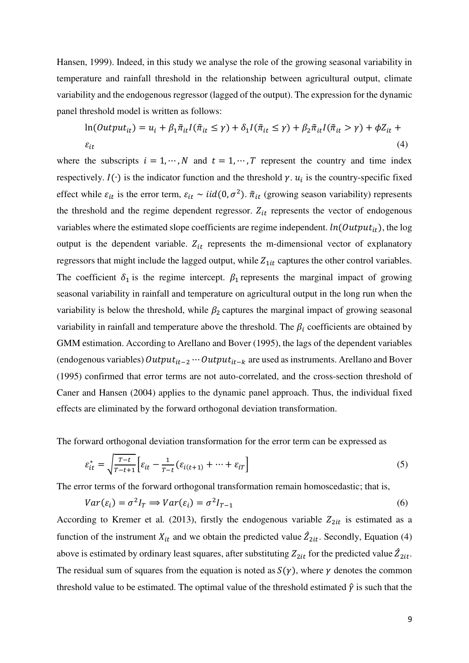Hansen, 1999). Indeed, in this study we analyse the role of the growing seasonal variability in temperature and rainfall threshold in the relationship between agricultural output, climate variability and the endogenous regressor (lagged of the output). The expression for the dynamic panel threshold model is written as follows:

$$
\ln(Output_{it}) = u_i + \beta_1 \tilde{\pi}_{it} I(\tilde{\pi}_{it} \le \gamma) + \delta_1 I(\tilde{\pi}_{it} \le \gamma) + \beta_2 \tilde{\pi}_{it} I(\tilde{\pi}_{it} > \gamma) + \phi Z_{it} + \varepsilon_{it}
$$
\n
$$
\varepsilon_{it}
$$
\n
$$
(4)
$$

where the subscripts  $i = 1, \dots, N$  and  $t = 1, \dots, T$  represent the country and time index respectively.  $I(\cdot)$  is the indicator function and the threshold  $\gamma$ .  $u_i$  is the country-specific fixed effect while  $\varepsilon_{it}$  is the error term,  $\varepsilon_{it} \sim \textit{iid}(0, \sigma^2)$ .  $\tilde{\pi}_{it}$  (growing season variability) represents the threshold and the regime dependent regressor.  $Z_{it}$  represents the vector of endogenous variables where the estimated slope coefficients are regime independent.  $ln(Output_{it})$ , the log output is the dependent variable.  $Z_{it}$  represents the m-dimensional vector of explanatory regressors that might include the lagged output, while  $Z_{1it}$  captures the other control variables. The coefficient  $\delta_1$  is the regime intercept.  $\beta_1$  represents the marginal impact of growing seasonal variability in rainfall and temperature on agricultural output in the long run when the variability is below the threshold, while  $\beta_2$  captures the marginal impact of growing seasonal variability in rainfall and temperature above the threshold. The  $\beta_i$  coefficients are obtained by GMM estimation. According to Arellano and Bover (1995), the lags of the dependent variables (endogenous variables)  $Output_{it-2} \cdots Output_{it-k}$  are used as instruments. Arellano and Bover (1995) confirmed that error terms are not auto-correlated, and the cross-section threshold of Caner and Hansen (2004) applies to the dynamic panel approach. Thus, the individual fixed effects are eliminated by the forward orthogonal deviation transformation.

The forward orthogonal deviation transformation for the error term can be expressed as

$$
\varepsilon_{it}^* = \sqrt{\frac{T-t}{T-t+1}} \Big[ \varepsilon_{it} - \frac{1}{T-t} (\varepsilon_{i(t+1)} + \dots + \varepsilon_{iT} \Big] \tag{5}
$$

The error terms of the forward orthogonal transformation remain homoscedastic; that is,

$$
Var(\varepsilon_i) = \sigma^2 I_T \Longrightarrow Var(\varepsilon_i) = \sigma^2 I_{T-1}
$$
\n<sup>(6)</sup>

According to Kremer et al. (2013), firstly the endogenous variable  $Z_{2it}$  is estimated as a function of the instrument  $X_{it}$  and we obtain the predicted value  $\hat{Z}_{2it}$ . Secondly, Equation (4) above is estimated by ordinary least squares, after substituting  $Z_{2it}$  for the predicted value  $\hat{Z}_{2it}$ . The residual sum of squares from the equation is noted as  $S(\gamma)$ , where  $\gamma$  denotes the common threshold value to be estimated. The optimal value of the threshold estimated  $\hat{\gamma}$  is such that the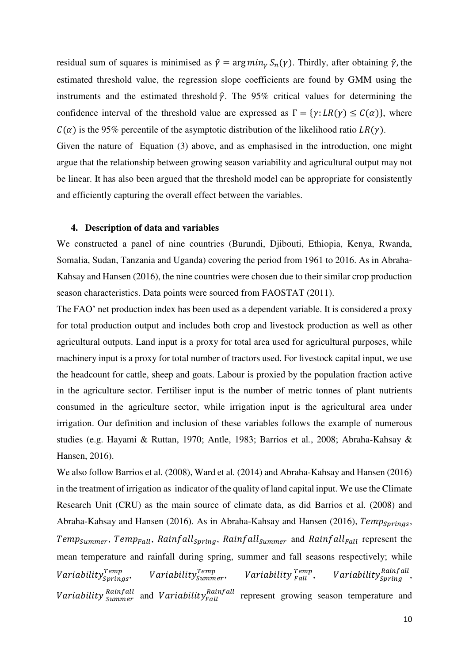residual sum of squares is minimised as  $\hat{\gamma} = \arg min_{\gamma} S_n(\gamma)$ . Thirdly, after obtaining  $\hat{\gamma}$ , the estimated threshold value, the regression slope coefficients are found by GMM using the instruments and the estimated threshold  $\hat{\gamma}$ . The 95% critical values for determining the confidence interval of the threshold value are expressed as  $\Gamma = \{y: LR(y) \le C(\alpha)\}\)$ , where  $C(\alpha)$  is the 95% percentile of the asymptotic distribution of the likelihood ratio LR(y).

Given the nature of Equation (3) above, and as emphasised in the introduction, one might argue that the relationship between growing season variability and agricultural output may not be linear. It has also been argued that the threshold model can be appropriate for consistently and efficiently capturing the overall effect between the variables.

#### **4. Description of data and variables**

We constructed a panel of nine countries (Burundi, Djibouti, Ethiopia, Kenya, Rwanda, Somalia, Sudan, Tanzania and Uganda) covering the period from 1961 to 2016. As in Abraha-Kahsay and Hansen (2016), the nine countries were chosen due to their similar crop production season characteristics. Data points were sourced from FAOSTAT (2011).

The FAO' net production index has been used as a dependent variable. It is considered a proxy for total production output and includes both crop and livestock production as well as other agricultural outputs. Land input is a proxy for total area used for agricultural purposes, while machinery input is a proxy for total number of tractors used. For livestock capital input, we use the headcount for cattle, sheep and goats. Labour is proxied by the population fraction active in the agriculture sector. Fertiliser input is the number of metric tonnes of plant nutrients consumed in the agriculture sector, while irrigation input is the agricultural area under irrigation. Our definition and inclusion of these variables follows the example of numerous studies (e.g. Hayami & Ruttan, 1970; Antle, 1983; Barrios et al*.*, 2008; Abraha-Kahsay & Hansen, 2016).

We also follow Barrios et al*.* (2008), Ward et al*.* (2014) and Abraha-Kahsay and Hansen (2016) in the treatment of irrigation as indicator of the quality of land capital input. We use the Climate Research Unit (CRU) as the main source of climate data, as did Barrios et al*.* (2008) and Abraha-Kahsay and Hansen (2016). As in Abraha-Kahsay and Hansen (2016),  $Temp_{Sprinas}$ , Temp<sub>Summer</sub>, Temp<sub>Fall</sub>, Rainfall<sub>Spring</sub>, Rainfall<sub>Summer</sub> and Rainfall<sub>Fall</sub> represent the mean temperature and rainfall during spring, summer and fall seasons respectively; while Variability $_{Springs}^{Temp}, \quad Variability_{Summary}^{Temp}, \quad Variability_{Fall}^{Temp}, \quad Variability_{Spring}^{Rainfall},$ Variability <sup>Rainfall</sup> and Variability <sup>Rainfall</sup> represent growing season temperature and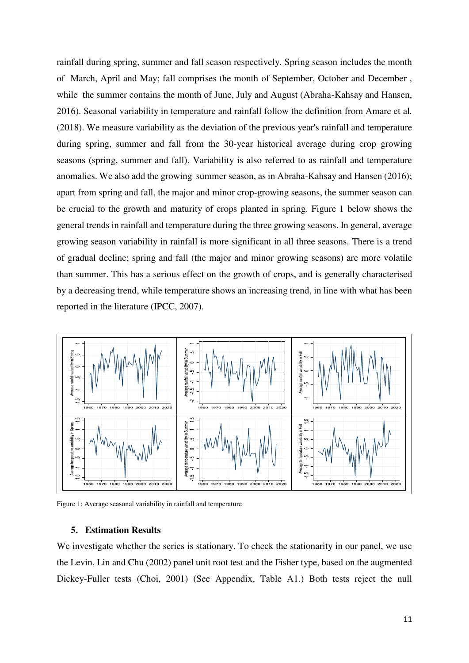rainfall during spring, summer and fall season respectively. Spring season includes the month of March, April and May; fall comprises the month of September, October and December , while the summer contains the month of June, July and August (Abraha-Kahsay and Hansen, 2016). Seasonal variability in temperature and rainfall follow the definition from Amare et al*.* (2018). We measure variability as the deviation of the previous year's rainfall and temperature during spring, summer and fall from the 30-year historical average during crop growing seasons (spring, summer and fall). Variability is also referred to as rainfall and temperature anomalies. We also add the growing summer season, as in Abraha-Kahsay and Hansen (2016); apart from spring and fall, the major and minor crop-growing seasons, the summer season can be crucial to the growth and maturity of crops planted in spring. Figure 1 below shows the general trends in rainfall and temperature during the three growing seasons. In general, average growing season variability in rainfall is more significant in all three seasons. There is a trend of gradual decline; spring and fall (the major and minor growing seasons) are more volatile than summer. This has a serious effect on the growth of crops, and is generally characterised by a decreasing trend, while temperature shows an increasing trend, in line with what has been reported in the literature (IPCC, 2007).



Figure 1: Average seasonal variability in rainfall and temperature

#### **5. Estimation Results**

We investigate whether the series is stationary. To check the stationarity in our panel, we use the Levin, Lin and Chu (2002) panel unit root test and the Fisher type, based on the augmented Dickey-Fuller tests (Choi, 2001) (See Appendix, Table A1.) Both tests reject the null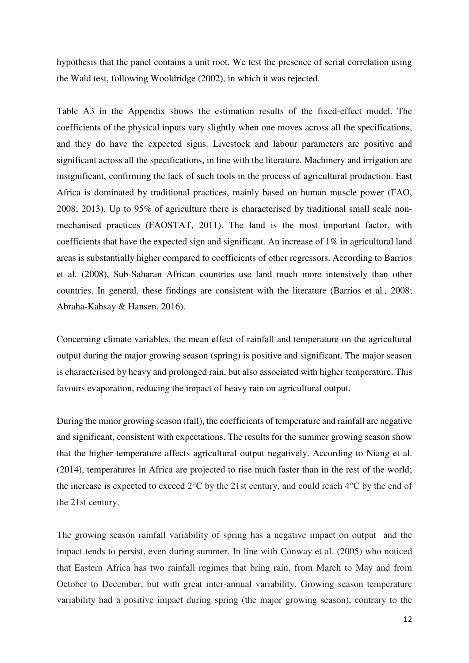hypothesis that the panel contains a unit root. We test the presence of serial correlation using the Wald test, following Wooldridge (2002), in which it was rejected.

Table A3 in the Appendix shows the estimation results of the fixed-effect model. The coefficients of the physical inputs vary slightly when one moves across all the specifications, and they do have the expected signs. Livestock and labour parameters are positive and significant across all the specifications, in line with the literature. Machinery and irrigation are insignificant, confirming the lack of such tools in the process of agricultural production. East Africa is dominated by traditional practices, mainly based on human muscle power (FAO, 2008; 2013). Up to 95% of agriculture there is characterised by traditional small scale nonmechanised practices (FAOSTAT, 2011). The land is the most important factor, with coefficients that have the expected sign and significant. An increase of 1% in agricultural land areas is substantially higher compared to coefficients of other regressors. According to Barrios et al*.* (2008), Sub-Saharan African countries use land much more intensively than other countries. In general, these findings are consistent with the literature (Barrios et al*.,* 2008; Abraha-Kahsay & Hansen, 2016).

Concerning climate variables, the mean effect of rainfall and temperature on the agricultural output during the major growing season (spring) is positive and significant. The major season is characterised by heavy and prolonged rain, but also associated with higher temperature. This favours evaporation, reducing the impact of heavy rain on agricultural output.

During the minor growing season (fall), the coefficients of temperature and rainfall are negative and significant, consistent with expectations. The results for the summer growing season show that the higher temperature affects agricultural output negatively. According to Niang et al. (2014), temperatures in Africa are projected to rise much faster than in the rest of the world; the increase is expected to exceed  $2^{\circ}$ C by the 21st century, and could reach  $4^{\circ}$ C by the end of the 21st century.

The growing season rainfall variability of spring has a negative impact on output and the impact tends to persist, even during summer. In line with Conway et al. (2005) who noticed that Eastern Africa has two rainfall regimes that bring rain, from March to May and from October to December, but with great inter-annual variability. Growing season temperature variability had a positive impact during spring (the major growing season), contrary to the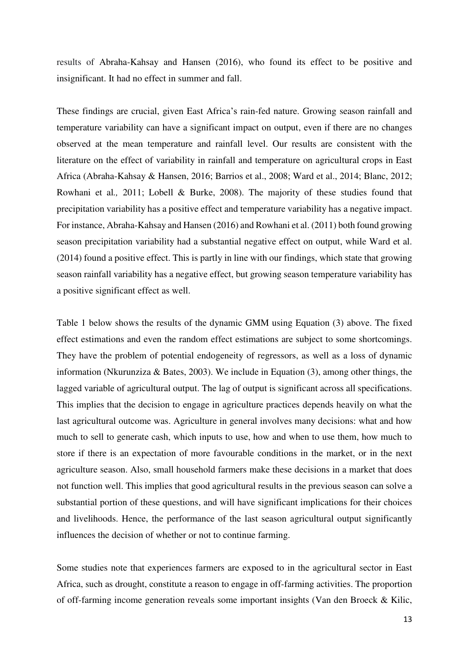results of Abraha-Kahsay and Hansen (2016), who found its effect to be positive and insignificant. It had no effect in summer and fall.

These findings are crucial, given East Africa's rain-fed nature. Growing season rainfall and temperature variability can have a significant impact on output, even if there are no changes observed at the mean temperature and rainfall level. Our results are consistent with the literature on the effect of variability in rainfall and temperature on agricultural crops in East Africa (Abraha-Kahsay & Hansen, 2016; Barrios et al., 2008; Ward et al., 2014; Blanc, 2012; Rowhani et al*.,* 2011; Lobell & Burke, 2008). The majority of these studies found that precipitation variability has a positive effect and temperature variability has a negative impact. For instance, Abraha-Kahsay and Hansen (2016) and Rowhani et al. (2011) both found growing season precipitation variability had a substantial negative effect on output, while Ward et al. (2014) found a positive effect. This is partly in line with our findings, which state that growing season rainfall variability has a negative effect, but growing season temperature variability has a positive significant effect as well.

Table 1 below shows the results of the dynamic GMM using Equation (3) above. The fixed effect estimations and even the random effect estimations are subject to some shortcomings. They have the problem of potential endogeneity of regressors, as well as a loss of dynamic information (Nkurunziza & Bates, 2003). We include in Equation (3), among other things, the lagged variable of agricultural output. The lag of output is significant across all specifications. This implies that the decision to engage in agriculture practices depends heavily on what the last agricultural outcome was. Agriculture in general involves many decisions: what and how much to sell to generate cash, which inputs to use, how and when to use them, how much to store if there is an expectation of more favourable conditions in the market, or in the next agriculture season. Also, small household farmers make these decisions in a market that does not function well. This implies that good agricultural results in the previous season can solve a substantial portion of these questions, and will have significant implications for their choices and livelihoods. Hence, the performance of the last season agricultural output significantly influences the decision of whether or not to continue farming.

Some studies note that experiences farmers are exposed to in the agricultural sector in East Africa, such as drought, constitute a reason to engage in off-farming activities. The proportion of off-farming income generation reveals some important insights (Van den Broeck & Kilic,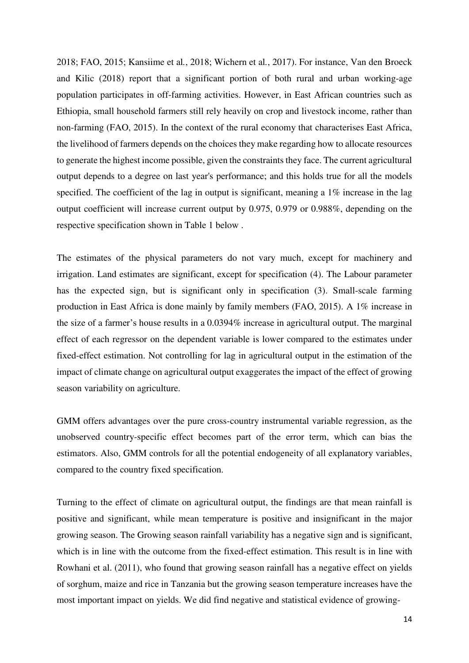2018; FAO, 2015; Kansiime et al*.*, 2018; Wichern et al*.*, 2017). For instance, Van den Broeck and Kilic (2018) report that a significant portion of both rural and urban working-age population participates in off-farming activities. However, in East African countries such as Ethiopia, small household farmers still rely heavily on crop and livestock income, rather than non-farming (FAO, 2015). In the context of the rural economy that characterises East Africa, the livelihood of farmers depends on the choices they make regarding how to allocate resources to generate the highest income possible, given the constraints they face. The current agricultural output depends to a degree on last year's performance; and this holds true for all the models specified. The coefficient of the lag in output is significant, meaning a 1% increase in the lag output coefficient will increase current output by 0.975, 0.979 or 0.988%, depending on the respective specification shown in Table 1 below .

The estimates of the physical parameters do not vary much, except for machinery and irrigation. Land estimates are significant, except for specification (4). The Labour parameter has the expected sign, but is significant only in specification (3). Small-scale farming production in East Africa is done mainly by family members (FAO, 2015). A 1% increase in the size of a farmer's house results in a 0.0394% increase in agricultural output. The marginal effect of each regressor on the dependent variable is lower compared to the estimates under fixed-effect estimation. Not controlling for lag in agricultural output in the estimation of the impact of climate change on agricultural output exaggerates the impact of the effect of growing season variability on agriculture.

GMM offers advantages over the pure cross-country instrumental variable regression, as the unobserved country-specific effect becomes part of the error term, which can bias the estimators. Also, GMM controls for all the potential endogeneity of all explanatory variables, compared to the country fixed specification.

Turning to the effect of climate on agricultural output, the findings are that mean rainfall is positive and significant, while mean temperature is positive and insignificant in the major growing season. The Growing season rainfall variability has a negative sign and is significant, which is in line with the outcome from the fixed-effect estimation. This result is in line with Rowhani et al. (2011), who found that growing season rainfall has a negative effect on yields of sorghum, maize and rice in Tanzania but the growing season temperature increases have the most important impact on yields. We did find negative and statistical evidence of growing-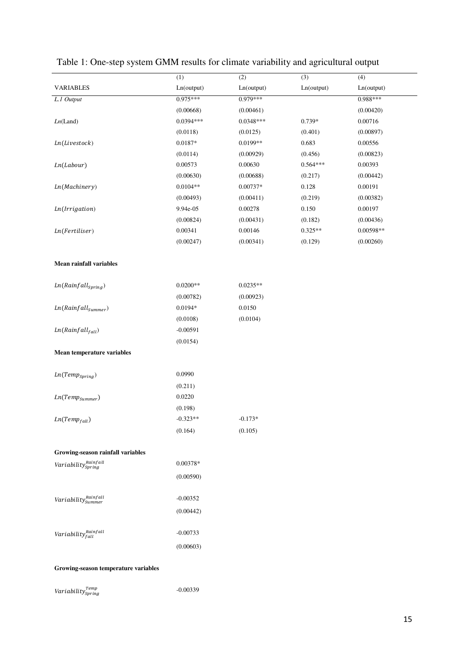|                                                                                                                                                                                                                      | (1)             | (2)         | (3)        | (4)         |
|----------------------------------------------------------------------------------------------------------------------------------------------------------------------------------------------------------------------|-----------------|-------------|------------|-------------|
| <b>VARIABLES</b>                                                                                                                                                                                                     | Ln(output)      | Ln(output)  | Ln(output) | Ln(output)  |
| L.1 Output                                                                                                                                                                                                           | $0.975***$      | $0.979***$  |            | 0.988***    |
|                                                                                                                                                                                                                      | (0.00668)       | (0.00461)   |            | (0.00420)   |
| Ln(Land)                                                                                                                                                                                                             | $0.0394***$     | $0.0348***$ | 0.739*     | 0.00716     |
|                                                                                                                                                                                                                      | (0.0118)        | (0.0125)    | (0.401)    | (0.00897)   |
| Ln(Livestock)                                                                                                                                                                                                        | $0.0187^{\ast}$ | 0.0199**    | 0.683      | 0.00556     |
|                                                                                                                                                                                                                      | (0.0114)        | (0.00929)   | (0.456)    | (0.00823)   |
| Ln(Labour)                                                                                                                                                                                                           | 0.00573         | 0.00630     | $0.564***$ | 0.00393     |
|                                                                                                                                                                                                                      | (0.00630)       | (0.00688)   | (0.217)    | (0.00442)   |
| Ln(Machinery)                                                                                                                                                                                                        | $0.0104**$      | 0.00737*    | 0.128      | 0.00191     |
|                                                                                                                                                                                                                      | (0.00493)       | (0.00411)   | (0.219)    | (0.00382)   |
| Ln(Irrigation)                                                                                                                                                                                                       | 9.94e-05        | 0.00278     | 0.150      | 0.00197     |
|                                                                                                                                                                                                                      | (0.00824)       | (0.00431)   | (0.182)    | (0.00436)   |
| Ln(Fertiliser)                                                                                                                                                                                                       | 0.00341         | 0.00146     | $0.325**$  | $0.00598**$ |
|                                                                                                                                                                                                                      | (0.00247)       | (0.00341)   | (0.129)    | (0.00260)   |
| Mean rainfall variables                                                                                                                                                                                              |                 |             |            |             |
| $Ln(Rainfall_{spring})$                                                                                                                                                                                              | $0.0200**$      | $0.0235**$  |            |             |
|                                                                                                                                                                                                                      | (0.00782)       | (0.00923)   |            |             |
| $Ln(Rainfall_{\tiny Summer})$                                                                                                                                                                                        | 0.0194*         | 0.0150      |            |             |
|                                                                                                                                                                                                                      | (0.0108)        | (0.0104)    |            |             |
| $Ln(Rainfall_{fall})$                                                                                                                                                                                                | $-0.00591$      |             |            |             |
|                                                                                                                                                                                                                      | (0.0154)        |             |            |             |
| Mean temperature variables                                                                                                                                                                                           |                 |             |            |             |
| $Ln(Temp_{Spring})$                                                                                                                                                                                                  | 0.0990          |             |            |             |
|                                                                                                                                                                                                                      | (0.211)         |             |            |             |
| $Ln(Temp_{Summer})$                                                                                                                                                                                                  | 0.0220          |             |            |             |
|                                                                                                                                                                                                                      | (0.198)         |             |            |             |
| $Ln(Temp_{fall})$                                                                                                                                                                                                    | $-0.323**$      | $-0.173*$   |            |             |
|                                                                                                                                                                                                                      | (0.164)         | (0.105)     |            |             |
| Growing-season rainfall variables                                                                                                                                                                                    |                 |             |            |             |
| $Variable \frac{Rainfall}{Spring}$                                                                                                                                                                                   | 0.00378*        |             |            |             |
|                                                                                                                                                                                                                      | (0.00590)       |             |            |             |
|                                                                                                                                                                                                                      |                 |             |            |             |
| $\label{eq:var1} Variable \begin{minipage}[c]{0.9\linewidth} \label{eq:var2} \begin{minipage}[c]{0.9\linewidth} \textit{Variable} \end{minipage} \begin{minipage}[c]{0.9\linewidth} \textit{Quantum} \end{minipage}$ | $-0.00352$      |             |            |             |
|                                                                                                                                                                                                                      | (0.00442)       |             |            |             |
| Variability $_{fall}^{Rainfall}$                                                                                                                                                                                     | $-0.00733$      |             |            |             |
|                                                                                                                                                                                                                      | (0.00603)       |             |            |             |
|                                                                                                                                                                                                                      |                 |             |            |             |
| Growing-season temperature variables                                                                                                                                                                                 |                 |             |            |             |

### Table 1: One-step system GMM results for climate variability and agricultural output

*V*

-0.00339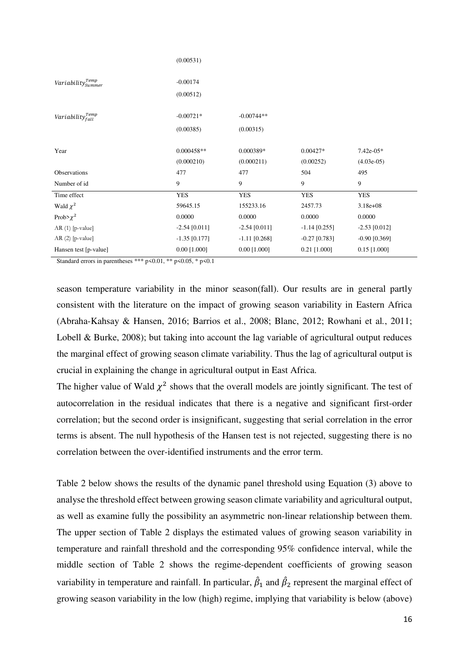|                                | (0.00531)                  |                           |                         |                             |
|--------------------------------|----------------------------|---------------------------|-------------------------|-----------------------------|
| $Variable_{\it Summer}^{Temp}$ | $-0.00174$<br>(0.00512)    |                           |                         |                             |
| Variability $_{fall}^{Temp}$   | $-0.00721*$<br>(0.00385)   | $-0.00744**$<br>(0.00315) |                         |                             |
| Year                           | $0.000458**$<br>(0.000210) | 0.000389*<br>(0.000211)   | $0.00427*$<br>(0.00252) | $7.42e-05*$<br>$(4.03e-05)$ |
| Observations                   | 477                        | 477                       | 504                     | 495                         |
| Number of id                   | 9                          | 9                         | 9                       | 9                           |
| Time effect                    | <b>YES</b>                 | <b>YES</b>                | <b>YES</b>              | <b>YES</b>                  |
| Wald $\chi^2$                  | 59645.15                   | 155233.16                 | 2457.73                 | $3.18e + 08$                |
| Prob> $\chi^2$                 | 0.0000                     | 0.0000                    | 0.0000                  | 0.0000                      |
| $AR(1)$ [p-value]              | $-2.54$ [0.011]            | $-2.54$ [0.011]           | $-1.14$ [0.255]         | $-2.53$ [0.012]             |
| $AR(2)$ [p-value]              | $-1.35$ [0.177]            | $-1.11$ [0.268]           | $-0.27$ [0.783]         | $-0.90$ [0.369]             |
| Hansen test [p-value]          | $0.00$ [1.000]             | $0.00$ [1.000]            | $0.21$ [1.000]          | $0.15$ [1.000]              |

Standard errors in parentheses \*\*\*  $p \le 0.01$ , \*\*  $p \le 0.05$ , \*  $p \le 0.1$ 

season temperature variability in the minor season(fall). Our results are in general partly consistent with the literature on the impact of growing season variability in Eastern Africa (Abraha-Kahsay & Hansen, 2016; Barrios et al., 2008; Blanc, 2012; Rowhani et al*.*, 2011; Lobell & Burke, 2008); but taking into account the lag variable of agricultural output reduces the marginal effect of growing season climate variability. Thus the lag of agricultural output is crucial in explaining the change in agricultural output in East Africa.

The higher value of Wald  $\chi^2$  shows that the overall models are jointly significant. The test of autocorrelation in the residual indicates that there is a negative and significant first-order correlation; but the second order is insignificant, suggesting that serial correlation in the error terms is absent. The null hypothesis of the Hansen test is not rejected, suggesting there is no correlation between the over-identified instruments and the error term.

Table 2 below shows the results of the dynamic panel threshold using Equation (3) above to analyse the threshold effect between growing season climate variability and agricultural output, as well as examine fully the possibility an asymmetric non-linear relationship between them. The upper section of Table 2 displays the estimated values of growing season variability in temperature and rainfall threshold and the corresponding 95% confidence interval, while the middle section of Table 2 shows the regime-dependent coefficients of growing season variability in temperature and rainfall. In particular,  $\hat{\beta}_1$  and  $\hat{\beta}_2$  represent the marginal effect of growing season variability in the low (high) regime, implying that variability is below (above)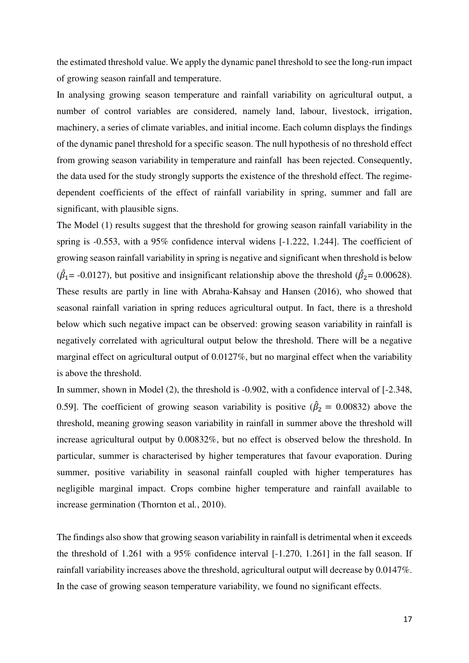the estimated threshold value. We apply the dynamic panel threshold to see the long-run impact of growing season rainfall and temperature.

In analysing growing season temperature and rainfall variability on agricultural output, a number of control variables are considered, namely land, labour, livestock, irrigation, machinery, a series of climate variables, and initial income. Each column displays the findings of the dynamic panel threshold for a specific season. The null hypothesis of no threshold effect from growing season variability in temperature and rainfall has been rejected. Consequently, the data used for the study strongly supports the existence of the threshold effect. The regimedependent coefficients of the effect of rainfall variability in spring, summer and fall are significant, with plausible signs.

The Model (1) results suggest that the threshold for growing season rainfall variability in the spring is -0.553, with a 95% confidence interval widens [-1.222, 1.244]. The coefficient of growing season rainfall variability in spring is negative and significant when threshold is below ( $\hat{\beta}_1$ = -0.0127), but positive and insignificant relationship above the threshold ( $\hat{\beta}_2$ = 0.00628). These results are partly in line with Abraha-Kahsay and Hansen (2016), who showed that seasonal rainfall variation in spring reduces agricultural output. In fact, there is a threshold below which such negative impact can be observed: growing season variability in rainfall is negatively correlated with agricultural output below the threshold. There will be a negative marginal effect on agricultural output of 0.0127%, but no marginal effect when the variability is above the threshold.

In summer, shown in Model (2), the threshold is -0.902, with a confidence interval of [-2.348, 0.59]. The coefficient of growing season variability is positive ( $\hat{\beta}_2 = 0.00832$ ) above the threshold, meaning growing season variability in rainfall in summer above the threshold will increase agricultural output by 0.00832%, but no effect is observed below the threshold. In particular, summer is characterised by higher temperatures that favour evaporation. During summer, positive variability in seasonal rainfall coupled with higher temperatures has negligible marginal impact. Crops combine higher temperature and rainfall available to increase germination (Thornton et al*.*, 2010).

The findings also show that growing season variability in rainfall is detrimental when it exceeds the threshold of 1.261 with a 95% confidence interval [-1.270, 1.261] in the fall season. If rainfall variability increases above the threshold, agricultural output will decrease by 0.0147%. In the case of growing season temperature variability, we found no significant effects.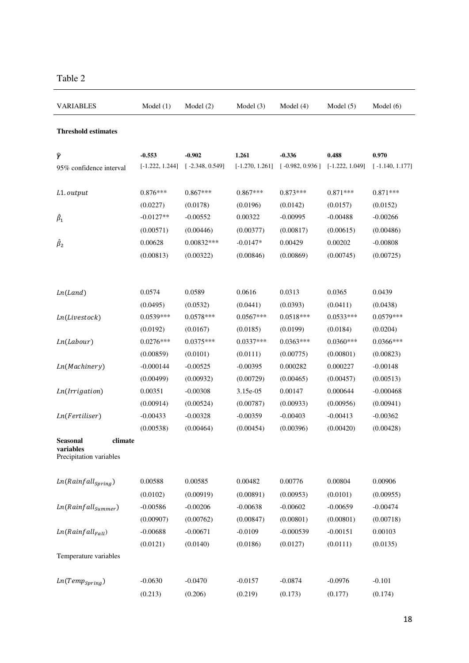| <b>VARIABLES</b>                     | Model(1)          | Model $(2)$       | Model $(3)$       | Model $(4)$       | Model $(5)$       | Model $(6)$       |
|--------------------------------------|-------------------|-------------------|-------------------|-------------------|-------------------|-------------------|
| <b>Threshold estimates</b>           |                   |                   |                   |                   |                   |                   |
| Ŷ                                    | $-0.553$          | $-0.902$          | 1.261             | $-0.336$          | 0.488             | 0.970             |
| 95% confidence interval              | $[-1.222, 1.244]$ | $[-2.348, 0.549]$ | $[-1.270, 1.261]$ | $[-0.982, 0.936]$ | $[-1.222, 1.049]$ | $[-1.140, 1.177]$ |
| L1.output                            | $0.876***$        | $0.867***$        | $0.867***$        | $0.873***$        | $0.871***$        | $0.871***$        |
|                                      | (0.0227)          | (0.0178)          | (0.0196)          | (0.0142)          | (0.0157)          | (0.0152)          |
| $\hat{\beta}_1$                      | $-0.0127**$       | $-0.00552$        | 0.00322           | $-0.00995$        | $-0.00488$        | $-0.00266$        |
|                                      | (0.00571)         | (0.00446)         | (0.00377)         | (0.00817)         | (0.00615)         | (0.00486)         |
| $\hat{\beta}_2$                      | 0.00628           | $0.00832***$      | $-0.0147*$        | 0.00429           | 0.00202           | $-0.00808$        |
|                                      | (0.00813)         | (0.00322)         | (0.00846)         | (0.00869)         | (0.00745)         | (0.00725)         |
|                                      |                   |                   |                   |                   |                   |                   |
| Ln(Land)                             | 0.0574            | 0.0589            | 0.0616            | 0.0313            | 0.0365            | 0.0439            |
|                                      | (0.0495)          | (0.0532)          | (0.0441)          | (0.0393)          | (0.0411)          | (0.0438)          |
| Ln(Livestock)                        | $0.0539***$       | $0.0578***$       | $0.0567***$       | $0.0518***$       | $0.0533***$       | $0.0579***$       |
|                                      | (0.0192)          | (0.0167)          | (0.0185)          | (0.0199)          | (0.0184)          | (0.0204)          |
| Ln(Labour)                           | $0.0276***$       | $0.0375***$       | $0.0337***$       | $0.0363***$       | $0.0360***$       | $0.0366***$       |
|                                      | (0.00859)         | (0.0101)          | (0.0111)          | (0.00775)         | (0.00801)         | (0.00823)         |
| <i>Ln</i> (Machinery)                | $-0.000144$       | $-0.00525$        | $-0.00395$        | 0.000282          | 0.000227          | $-0.00148$        |
|                                      | (0.00499)         | (0.00932)         | (0.00729)         | (0.00465)         | (0.00457)         | (0.00513)         |
| <i>Ln</i> ( <i>Irrigation</i> )      | 0.00351           | $-0.00308$        | 3.15e-05          | 0.00147           | 0.000644          | $-0.000468$       |
|                                      | (0.00914)         | (0.00524)         | (0.00787)         | (0.00933)         | (0.00956)         | (0.00941)         |
| Ln(Fertiliser)                       | $-0.00433$        | $-0.00328$        | $-0.00359$        | $-0.00403$        | $-0.00413$        | $-0.00362$        |
|                                      | (0.00538)         | (0.00464)         | (0.00454)         | (0.00396)         | (0.00420)         | (0.00428)         |
| climate<br>Seasonal                  |                   |                   |                   |                   |                   |                   |
| variables<br>Precipitation variables |                   |                   |                   |                   |                   |                   |
| $Ln(Rainfall_{spring})$              | 0.00588           | 0.00585           | 0.00482           | 0.00776           | 0.00804           | 0.00906           |
|                                      | (0.0102)          | (0.00919)         | (0.00891)         | (0.00953)         | (0.0101)          | (0.00955)         |
| $Ln(Rainfall_{Summer})$              | $-0.00586$        | $-0.00206$        | $-0.00638$        | $-0.00602$        | $-0.00659$        | $-0.00474$        |
|                                      | (0.00907)         | (0.00762)         | (0.00847)         | (0.00801)         | (0.00801)         | (0.00718)         |
| $Ln(Rainfall_{Fall})$                | $-0.00688$        | $-0.00671$        | $-0.0109$         | $-0.000539$       | $-0.00151$        | 0.00103           |
|                                      | (0.0121)          | (0.0140)          | (0.0186)          | (0.0127)          | (0.0111)          | (0.0135)          |
| Temperature variables                |                   |                   |                   |                   |                   |                   |
| $Ln(Temp_{Spring})$                  | $-0.0630$         | $-0.0470$         | $-0.0157$         | $-0.0874$         | $-0.0976$         | $-0.101$          |
|                                      | (0.213)           | (0.206)           | (0.219)           | (0.173)           | (0.177)           | (0.174)           |

### Table 2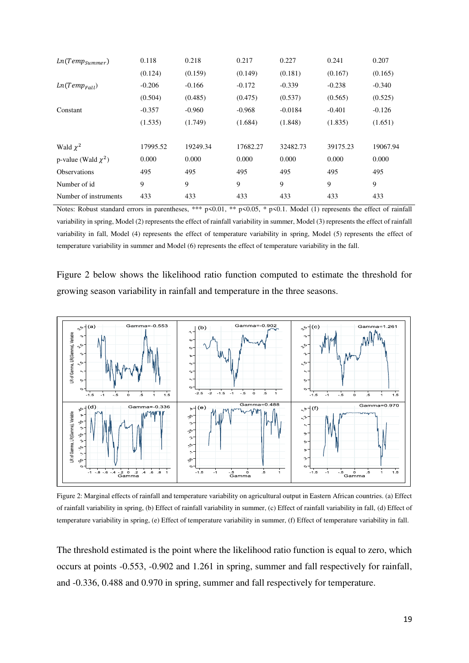| $Ln(Temp_{Summer})$      | 0.118    | 0.218    | 0.217    | 0.227     | 0.241    | 0.207    |
|--------------------------|----------|----------|----------|-----------|----------|----------|
|                          | (0.124)  | (0.159)  | (0.149)  | (0.181)   | (0.167)  | (0.165)  |
| $Ln(Temp_{Fall})$        | $-0.206$ | $-0.166$ | $-0.172$ | $-0.339$  | $-0.238$ | $-0.340$ |
|                          | (0.504)  | (0.485)  | (0.475)  | (0.537)   | (0.565)  | (0.525)  |
| Constant                 | $-0.357$ | $-0.960$ | $-0.968$ | $-0.0184$ | $-0.401$ | $-0.126$ |
|                          | (1.535)  | (1.749)  | (1.684)  | (1.848)   | (1.835)  | (1.651)  |
|                          |          |          |          |           |          |          |
| Wald $\chi^2$            | 17995.52 | 19249.34 | 17682.27 | 32482.73  | 39175.23 | 19067.94 |
| p-value (Wald $\chi^2$ ) | 0.000    | 0.000    | 0.000    | 0.000     | 0.000    | 0.000    |
| <b>Observations</b>      | 495      | 495      | 495      | 495       | 495      | 495      |
| Number of id             | 9        | 9        | 9        | 9         | 9        | 9        |
| Number of instruments    | 433      | 433      | 433      | 433       | 433      | 433      |

Notes: Robust standard errors in parentheses, \*\*\* p<0.01, \*\* p<0.05, \* p<0.1. Model (1) represents the effect of rainfall variability in spring, Model (2) represents the effect of rainfall variability in summer, Model (3) represents the effect of rainfall variability in fall, Model (4) represents the effect of temperature variability in spring, Model (5) represents the effect of temperature variability in summer and Model (6) represents the effect of temperature variability in the fall.

Figure 2 below shows the likelihood ratio function computed to estimate the threshold for growing season variability in rainfall and temperature in the three seasons.



Figure 2: Marginal effects of rainfall and temperature variability on agricultural output in Eastern African countries. (a) Effect of rainfall variability in spring, (b) Effect of rainfall variability in summer, (c) Effect of rainfall variability in fall, (d) Effect of temperature variability in spring, (e) Effect of temperature variability in summer, (f) Effect of temperature variability in fall.

The threshold estimated is the point where the likelihood ratio function is equal to zero, which occurs at points -0.553, -0.902 and 1.261 in spring, summer and fall respectively for rainfall, and -0.336, 0.488 and 0.970 in spring, summer and fall respectively for temperature.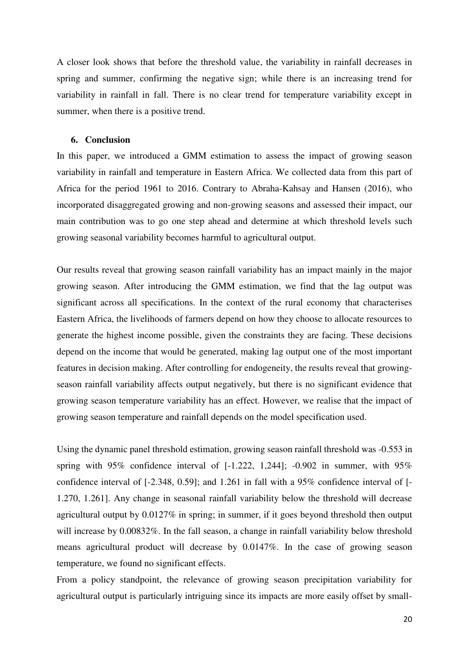A closer look shows that before the threshold value, the variability in rainfall decreases in spring and summer, confirming the negative sign; while there is an increasing trend for variability in rainfall in fall. There is no clear trend for temperature variability except in summer, when there is a positive trend.

#### **6. Conclusion**

In this paper, we introduced a GMM estimation to assess the impact of growing season variability in rainfall and temperature in Eastern Africa. We collected data from this part of Africa for the period 1961 to 2016. Contrary to Abraha-Kahsay and Hansen (2016), who incorporated disaggregated growing and non-growing seasons and assessed their impact, our main contribution was to go one step ahead and determine at which threshold levels such growing seasonal variability becomes harmful to agricultural output.

Our results reveal that growing season rainfall variability has an impact mainly in the major growing season. After introducing the GMM estimation, we find that the lag output was significant across all specifications. In the context of the rural economy that characterises Eastern Africa, the livelihoods of farmers depend on how they choose to allocate resources to generate the highest income possible, given the constraints they are facing. These decisions depend on the income that would be generated, making lag output one of the most important features in decision making. After controlling for endogeneity, the results reveal that growingseason rainfall variability affects output negatively, but there is no significant evidence that growing season temperature variability has an effect. However, we realise that the impact of growing season temperature and rainfall depends on the model specification used.

Using the dynamic panel threshold estimation, growing season rainfall threshold was -0.553 in spring with  $95\%$  confidence interval of  $[-1.222, 1.244]$ ;  $-0.902$  in summer, with  $95\%$ confidence interval of [-2.348, 0.59]; and 1.261 in fall with a 95% confidence interval of [- 1.270, 1.261]. Any change in seasonal rainfall variability below the threshold will decrease agricultural output by 0.0127% in spring; in summer, if it goes beyond threshold then output will increase by 0.00832%. In the fall season, a change in rainfall variability below threshold means agricultural product will decrease by 0.0147%. In the case of growing season temperature, we found no significant effects.

From a policy standpoint, the relevance of growing season precipitation variability for agricultural output is particularly intriguing since its impacts are more easily offset by small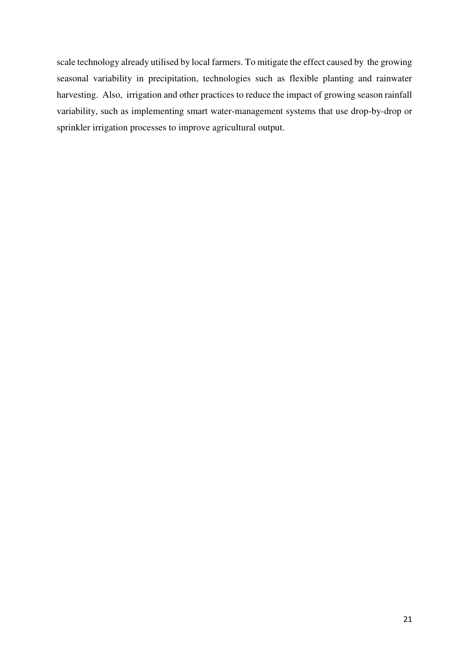scale technology already utilised by local farmers. To mitigate the effect caused by the growing seasonal variability in precipitation, technologies such as flexible planting and rainwater harvesting. Also, irrigation and other practices to reduce the impact of growing season rainfall variability, such as implementing smart water-management systems that use drop-by-drop or sprinkler irrigation processes to improve agricultural output.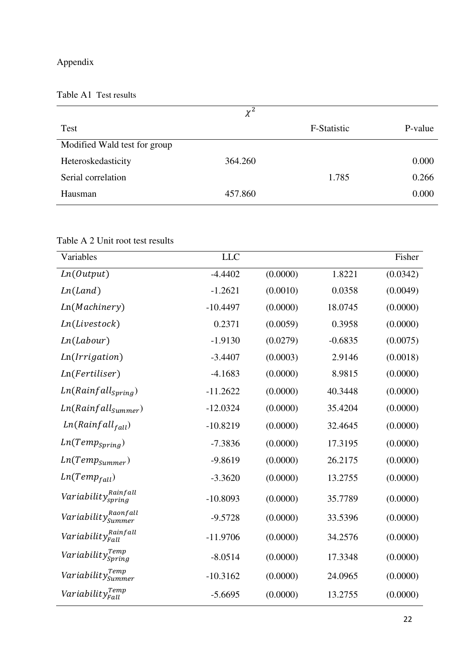### Appendix

Table A1 Test results

|                              | $\chi^2$ |             |         |
|------------------------------|----------|-------------|---------|
| <b>Test</b>                  |          | F-Statistic | P-value |
| Modified Wald test for group |          |             |         |
| Heteroskedasticity           | 364.260  |             | 0.000   |
| Serial correlation           |          | 1.785       | 0.266   |
| Hausman                      | 457.860  |             | 0.000   |

Table A 2 Unit root test results

| Variables                                            | <b>LLC</b> |          |           | Fisher   |
|------------------------------------------------------|------------|----------|-----------|----------|
| Ln(Output)                                           | $-4.4402$  | (0.0000) | 1.8221    | (0.0342) |
| Ln(Land)                                             | $-1.2621$  | (0.0010) | 0.0358    | (0.0049) |
| Ln(Machinery)                                        | $-10.4497$ | (0.0000) | 18.0745   | (0.0000) |
| Ln(Livestock)                                        | 0.2371     | (0.0059) | 0.3958    | (0.0000) |
| Ln(Labour)                                           | $-1.9130$  | (0.0279) | $-0.6835$ | (0.0075) |
| Ln(Irrigation)                                       | $-3.4407$  | (0.0003) | 2.9146    | (0.0018) |
| Ln(Fertiliser)                                       | $-4.1683$  | (0.0000) | 8.9815    | (0.0000) |
| $Ln(Rainfall_{spring})$                              | $-11.2622$ | (0.0000) | 40.3448   | (0.0000) |
| $Ln(Rainfall_{Summer})$                              | $-12.0324$ | (0.0000) | 35.4204   | (0.0000) |
| $Ln(Rainfall_{fall})$                                | $-10.8219$ | (0.0000) | 32.4645   | (0.0000) |
| $Ln(Temp_{Spring})$                                  | $-7.3836$  | (0.0000) | 17.3195   | (0.0000) |
| $Ln(Temp_{Summer})$                                  | $-9.8619$  | (0.0000) | 26.2175   | (0.0000) |
| $Ln(Temp_{fall})$                                    | $-3.3620$  | (0.0000) | 13.2755   | (0.0000) |
| Variability <sub>spring</sub>                        | $-10.8093$ | (0.0000) | 35.7789   | (0.0000) |
| Variability $_{\textit{Summer}}^{\textit{Raonfall}}$ | $-9.5728$  | (0.0000) | 33.5396   | (0.0000) |
| Variability <sub>Fall</sub>                          | $-11.9706$ | (0.0000) | 34.2576   | (0.0000) |
| Variability $_{Spring}^{Temp}$                       | $-8.0514$  | (0.0000) | 17.3348   | (0.0000) |
| Variability $_{\textit{Summer}}^{\textit{Temp}}$     | $-10.3162$ | (0.0000) | 24.0965   | (0.0000) |
| Variability $_{Fall}^{Temp}$                         | $-5.6695$  | (0.0000) | 13.2755   | (0.0000) |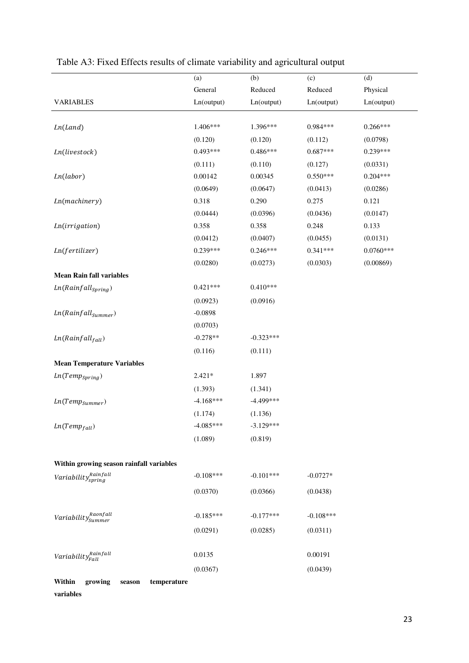|                                              | (a)         | (b)         | (c)         | (d)         |
|----------------------------------------------|-------------|-------------|-------------|-------------|
|                                              | General     | Reduced     | Reduced     | Physical    |
| <b>VARIABLES</b>                             | Ln(output)  | Ln(output)  | Ln(output)  | Ln(output)  |
|                                              |             |             |             |             |
| Ln(Land)                                     | 1.406***    | 1.396***    | $0.984***$  | $0.266***$  |
|                                              | (0.120)     | (0.120)     | (0.112)     | (0.0798)    |
| Ln(livestock)                                | $0.493***$  | $0.486***$  | $0.687***$  | $0.239***$  |
|                                              | (0.111)     | (0.110)     | (0.127)     | (0.0331)    |
| Ln(labor)                                    | 0.00142     | 0.00345     | $0.550***$  | $0.204***$  |
|                                              | (0.0649)    | (0.0647)    | (0.0413)    | (0.0286)    |
| Ln(machinery)                                | 0.318       | 0.290       | 0.275       | 0.121       |
|                                              | (0.0444)    | (0.0396)    | (0.0436)    | (0.0147)    |
| Ln(irrigation)                               | 0.358       | 0.358       | 0.248       | 0.133       |
|                                              | (0.0412)    | (0.0407)    | (0.0455)    | (0.0131)    |
| Ln(fertilizer)                               | $0.239***$  | $0.246***$  | $0.341***$  | $0.0760***$ |
|                                              | (0.0280)    | (0.0273)    | (0.0303)    | (0.00869)   |
| <b>Mean Rain fall variables</b>              |             |             |             |             |
| $Ln(Rainfall_{\text{Spring}})$               | $0.421***$  | $0.410***$  |             |             |
|                                              | (0.0923)    | (0.0916)    |             |             |
| $Ln(Rainfall_{Summer})$                      | $-0.0898$   |             |             |             |
|                                              | (0.0703)    |             |             |             |
| $Ln(Rainfall_{fall})$                        | $-0.278**$  | $-0.323***$ |             |             |
|                                              | (0.116)     | (0.111)     |             |             |
| <b>Mean Temperature Variables</b>            |             |             |             |             |
| $Ln(Temp_{Spring})$                          | $2.421*$    | 1.897       |             |             |
|                                              | (1.393)     | (1.341)     |             |             |
| $Ln(Temp_{Summer})$                          | $-4.168***$ | $-4.499***$ |             |             |
|                                              | (1.174)     | (1.136)     |             |             |
| $Ln(Temp_{fall})$                            | $-4.085***$ | $-3.129***$ |             |             |
|                                              | (1.089)     | (0.819)     |             |             |
|                                              |             |             |             |             |
| Within growing season rainfall variables     |             |             |             |             |
| Variability <sub>spring</sub>                | $-0.108***$ | $-0.101***$ | $-0.0727*$  |             |
|                                              | (0.0370)    | (0.0366)    | (0.0438)    |             |
|                                              |             |             |             |             |
| Variability $_{\it{Summer}}^{\it{Raonfall}}$ | $-0.185***$ | $-0.177***$ | $-0.108***$ |             |
|                                              | (0.0291)    | (0.0285)    | (0.0311)    |             |
|                                              |             |             |             |             |
| Variability $_{Fall}^{Rainfall}$             | 0.0135      |             | 0.00191     |             |
|                                              | (0.0367)    |             | (0.0439)    |             |
| Within<br>growing<br>temperature<br>season   |             |             |             |             |
| variables                                    |             |             |             |             |

## Table A3: Fixed Effects results of climate variability and agricultural output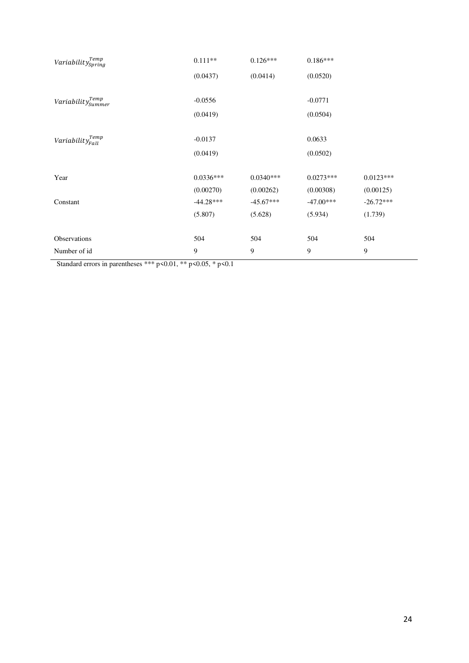| Variability $_{Spring}^{Temp}$ | $0.111**$   | $0.126***$  | $0.186***$  |             |
|--------------------------------|-------------|-------------|-------------|-------------|
|                                | (0.0437)    | (0.0414)    | (0.0520)    |             |
|                                |             |             |             |             |
| $Variableity^{Temp}_{Summer}$  | $-0.0556$   |             | $-0.0771$   |             |
|                                | (0.0419)    |             | (0.0504)    |             |
|                                |             |             |             |             |
| Variability $T_{Fall}^{Temp}$  | $-0.0137$   |             | 0.0633      |             |
|                                | (0.0419)    |             | (0.0502)    |             |
|                                |             |             |             |             |
| Year                           | $0.0336***$ | $0.0340***$ | $0.0273***$ | $0.0123***$ |
|                                | (0.00270)   | (0.00262)   | (0.00308)   | (0.00125)   |
| Constant                       | $-44.28***$ | $-45.67***$ | $-47.00***$ | $-26.72***$ |
|                                | (5.807)     | (5.628)     | (5.934)     | (1.739)     |
|                                |             |             |             |             |
| Observations                   | 504         | 504         | 504         | 504         |
| Number of id                   | 9           | 9           | 9           | 9           |

Standard errors in parentheses \*\*\* p<0.01, \*\* p<0.05, \* p<0.1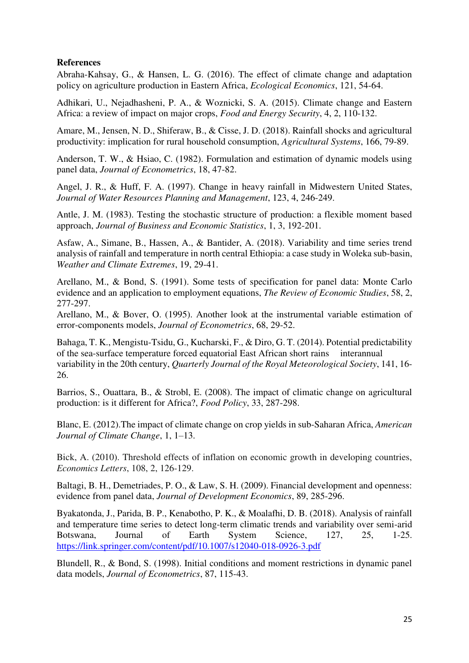#### **References**

Abraha-Kahsay, G., & Hansen, L. G. (2016). The effect of climate change and adaptation policy on agriculture production in Eastern Africa, *Ecological Economics*, 121, 54-64.

Adhikari, U., Nejadhasheni, P. A., & Woznicki, S. A. (2015). Climate change and Eastern Africa: a review of impact on major crops, *Food and Energy Security*, 4, 2, 110-132.

Amare, M., Jensen, N. D., Shiferaw, B., & Cisse, J. D. (2018). Rainfall shocks and agricultural productivity: implication for rural household consumption, *Agricultural Systems*, 166, 79-89.

Anderson, T. W., & Hsiao, C. (1982). Formulation and estimation of dynamic models using panel data, *Journal of Econometrics*, 18, 47-82.

Angel, J. R., & Huff, F. A. (1997). Change in heavy rainfall in Midwestern United States, *Journal of Water Resources Planning and Management*, 123, 4, 246-249.

Antle, J. M. (1983). Testing the stochastic structure of production: a flexible moment based approach, *Journal of Business and Economic Statistics*, 1, 3, 192-201.

Asfaw, A., Simane, B., Hassen, A., & Bantider, A. (2018). Variability and time series trend analysis of rainfall and temperature in north central Ethiopia: a case study in Woleka sub-basin, *Weather and Climate Extremes*, 19, 29-41.

Arellano, M., & Bond, S. (1991). Some tests of specification for panel data: Monte Carlo evidence and an application to employment equations, *The Review of Economic Studies*, 58, 2, 277-297.

Arellano, M., & Bover, O. (1995). Another look at the instrumental variable estimation of error-components models, *Journal of Econometrics*, 68, 29-52.

Bahaga, T. K., Mengistu-Tsidu, G., Kucharski, F., & Diro, G. T. (2014). Potential predictability of the sea-surface temperature forced equatorial East African short rains interannual variability in the 20th century, *Quarterly Journal of the Royal Meteorological Society*, 141, 16- 26.

Barrios, S., Ouattara, B., & Strobl, E. (2008). The impact of climatic change on agricultural production: is it different for Africa?, *Food Policy*, 33, 287-298.

Blanc, E. (2012).The impact of climate change on crop yields in sub-Saharan Africa, *American Journal of Climate Change*, 1, 1–13.

Bick, A. (2010). Threshold effects of inflation on economic growth in developing countries, *Economics Letters*, 108, 2, 126-129.

Baltagi, B. H., Demetriades, P. O., & Law, S. H. (2009). Financial development and openness: evidence from panel data, *Journal of Development Economics*, 89, 285-296.

Byakatonda, J., Parida, B. P., Kenabotho, P. K., & Moalafhi, D. B. (2018). Analysis of rainfall and temperature time series to detect long-term climatic trends and variability over semi-arid Botswana, Journal of Earth System Science, 127, 25, 1-25. <https://link.springer.com/content/pdf/10.1007/s12040-018-0926-3.pdf>

Blundell, R., & Bond, S. (1998). Initial conditions and moment restrictions in dynamic panel data models, *Journal of Econometrics*, 87, 115-43.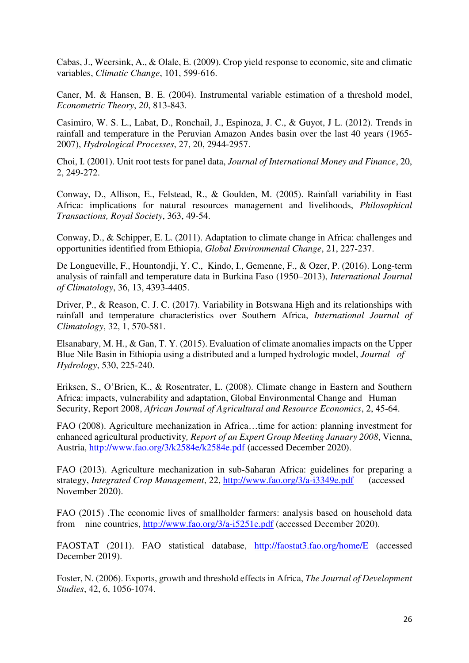Cabas, J., Weersink, A., & Olale, E. (2009). Crop yield response to economic, site and climatic variables, *Climatic Change*, 101, 599-616.

Caner, M. & Hansen, B. E. (2004). Instrumental variable estimation of a threshold model, *Econometric Theory*, *20*, 813-843.

[Casimiro,](https://onlinelibrary.wiley.com/action/doSearch?ContribAuthorStored=Lavado+Casimiro%2C+Waldo+Sven) W. S. L., [Labat,](https://onlinelibrary.wiley.com/action/doSearch?ContribAuthorStored=Labat%2C+David) D.[, Ronchail,](https://onlinelibrary.wiley.com/action/doSearch?ContribAuthorStored=Ronchail%2C+Josyane) J., [Espinoza,](https://onlinelibrary.wiley.com/action/doSearch?ContribAuthorStored=Espinoza%2C+Jhan+Carlo) J. C., & [Guyot,](https://onlinelibrary.wiley.com/action/doSearch?ContribAuthorStored=Guyot%2C+Jean+Loup) J L. (2012). Trends in rainfall and temperature in the Peruvian Amazon Andes basin over the last 40 years (1965- 2007), *Hydrological Processes*, 27, 20, 2944-2957.

Choi, I. (2001). Unit root tests for panel data, *Journal of International Money and Finance*, 20, 2, 249-272.

Conway, D., Allison, E., Felstead, R., & Goulden, M. (2005). Rainfall variability in East Africa: implications for natural resources management and livelihoods, *Philosophical Transactions, Royal Society*, 363, 49-54.

Conway, D., & Schipper, E. L. (2011). Adaptation to climate change in Africa: challenges and opportunities identified from Ethiopia, *Global Environmental Change*, 21, 227-237.

[De Longueville,](https://rmets.onlinelibrary.wiley.com/action/doSearch?ContribAuthorStored=de+Longueville%2C+Florence) F., [Hountondji,](https://rmets.onlinelibrary.wiley.com/action/doSearch?ContribAuthorStored=Hountondji%2C+Yvon-Carmen) Y. C., [Kindo,](https://rmets.onlinelibrary.wiley.com/action/doSearch?ContribAuthorStored=Kindo%2C+Issa) I., [Gemenne,](https://rmets.onlinelibrary.wiley.com/action/doSearch?ContribAuthorStored=Gemenne%2C+Fran%C3%A7ois) F., [& Ozer,](https://rmets.onlinelibrary.wiley.com/action/doSearch?ContribAuthorStored=Ozer%2C+Pierre) P. (2016). Long-term analysis of rainfall and temperature data in Burkina Faso (1950–2013), *International Journal of Climatology*, 36, 13, 4393-4405.

Driver, P., & Reason, C. J. C. (2017). Variability in Botswana High and its relationships with rainfall and temperature characteristics over Southern Africa, *International Journal of Climatology*, 32, 1, 570-581.

Elsanabary, M. H., & Gan, T. Y. (2015). Evaluation of climate anomalies impacts on the Upper Blue Nile Basin in Ethiopia using a distributed and a lumped hydrologic model, *Journal of Hydrology*, 530, 225-240.

Eriksen, S., O'Brien, K., & Rosentrater, L. (2008). Climate change in Eastern and Southern Africa: impacts, vulnerability and adaptation, Global Environmental Change and Human Security, Report 2008, *African Journal of Agricultural and Resource Economics*, 2, 45-64.

FAO (2008). Agriculture mechanization in Africa…time for action: planning investment for enhanced agricultural productivity*, Report of an Expert Group Meeting January 2008*, Vienna, Austria,<http://www.fao.org/3/k2584e/k2584e.pdf>(accessed December 2020).

FAO (2013). Agriculture mechanization in sub-Saharan Africa: guidelines for preparing a strategy, *Integrated Crop Management*, 22,<http://www.fao.org/3/a-i3349e.pdf>(accessed November 2020).

FAO (2015) .The economic lives of smallholder farmers: analysis based on household data from nine countries,<http://www.fao.org/3/a-i5251e.pdf>(accessed December 2020).

FAOSTAT (2011). FAO statistical database, <http://faostat3.fao.org/home/E>(accessed December 2019).

Foster, N. (2006). Exports, growth and threshold effects in Africa, *The Journal of Development Studies*, 42, 6, 1056-1074.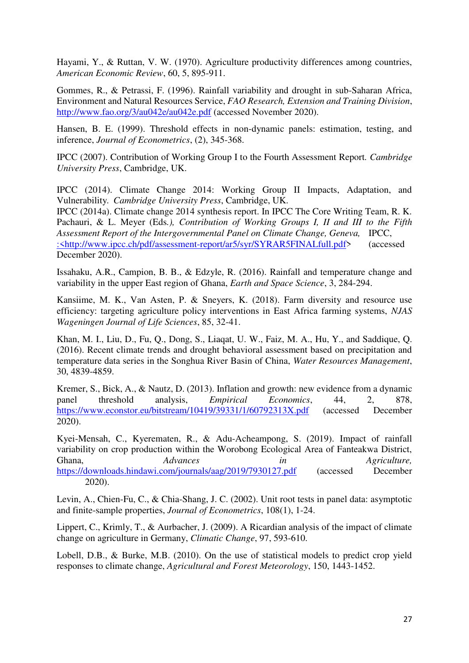Hayami, Y., & Ruttan, V. W. (1970). Agriculture productivity differences among countries, *American Economic Review*, 60, 5, 895-911.

Gommes, R., & Petrassi, F. (1996). Rainfall variability and drought in sub-Saharan Africa, Environment and Natural Resources Service, *FAO Research, Extension and Training Division*, <http://www.fao.org/3/au042e/au042e.pdf>(accessed November 2020).

Hansen, B. E. (1999). [Threshold effects in non-dynamic panels: estimation, testing, and](https://ideas.repec.org/a/eee/econom/v93y1999i2p345-368.html)  [inference,](https://ideas.repec.org/a/eee/econom/v93y1999i2p345-368.html) *[Journal of Econometrics](https://ideas.repec.org/s/eee/econom.html)*, (2), 345-368.

IPCC (2007). Contribution of Working Group I to the Fourth Assessment Report*. Cambridge University Press*, Cambridge, UK.

IPCC (2014). Climate Change 2014: Working Group II Impacts, Adaptation, and Vulnerability*. Cambridge University Press*, Cambridge, UK.

IPCC (2014a). Climate change 2014 synthesis report. In IPCC The Core Writing Team, R. K. Pachauri, & L. Meyer (Eds*.), Contribution of Working Groups I, II and III to the Fifth Assessment Report of the Intergovernmental Panel on Climate Change, Geneva,* IPCC[,](file:///C:/Users/LENOVO/Downloads/:%3chttp:/www.ipcc.ch/pdf/assessment-report/ar5/syr/SYRAR5FINALfull.pdf) [:<http://www.ipcc.ch/pdf/assessment-report/ar5/syr/SYRAR5FINALfull.pdf>](file:///C:/Users/LENOVO/Downloads/:%3chttp:/www.ipcc.ch/pdf/assessment-report/ar5/syr/SYRAR5FINALfull.pdf) (accessed December 2020).

Issahaku, A.R., Campion, B. B., & Edzyle, R. (2016). Rainfall and temperature change and variability in the upper East region of Ghana, *Earth and Space Science*, 3, 284-294.

Kansiime, M. K., Van Asten, P. & Sneyers, K. (2018). Farm diversity and resource use efficiency: targeting agriculture policy interventions in East Africa farming systems, *NJAS Wageningen Journal of Life Sciences*, 85, 32-41.

Khan, M. I., Liu, D., Fu, Q., Dong, S., Liaqat, U. W., Faiz, M. A., Hu, Y., and Saddique, Q. (2016). Recent climate trends and drought behavioral assessment based on precipitation and temperature data series in the Songhua River Basin of China, *Water Resources Management*, 30, 4839-4859.

Kremer, S., Bick, A., & Nautz, D. (2013). Inflation and growth: new evidence from a dynamic panel threshold analysis, *Empirical Economics*, 44, 2, 878, <https://www.econstor.eu/bitstream/10419/39331/1/60792313X.pdf>(accessed December 2020).

Kyei-Mensah, C., Kyerematen, R., & Adu-Acheampong, S. (2019). Impact of rainfall variability on crop production within the Worobong Ecological Area of Fanteakwa District, Ghana, *Advances in Agriculture,* <https://downloads.hindawi.com/journals/aag/2019/7930127.pdf>(accessed December 2020).

Levin, A., Chien-Fu, C., & Chia-Shang, J. C. (2002). [Unit root tests in panel data: asymptotic](https://ideas.repec.org/a/eee/econom/v108y2002i1p1-24.html)  [and finite-sample properties,](https://ideas.repec.org/a/eee/econom/v108y2002i1p1-24.html) *[Journal of Econometrics](https://ideas.repec.org/s/eee/econom.html)*, 108(1), 1-24.

Lippert, C., Krimly, T., & Aurbacher, J. (2009). A Ricardian analysis of the impact of climate change on agriculture in Germany, *Climatic Change*, 97, 593-610.

Lobell, D.B., & Burke, M.B. (2010). On the use of statistical models to predict crop yield responses to climate change, *Agricultural and Forest Meteorology*, 150, 1443-1452.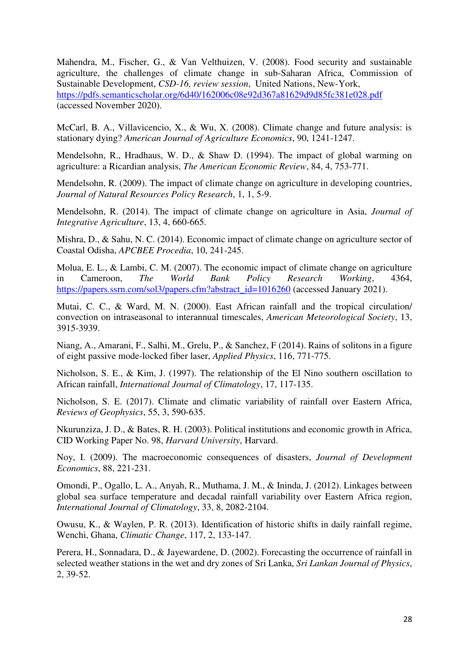Mahendra, M., Fischer, G., & Van Velthuizen, V. (2008). Food security and sustainable agriculture, the challenges of climate change in sub-Saharan Africa, Commission of Sustainable Development, *CSD-16, review session*, United Nations, New-York, <https://pdfs.semanticscholar.org/6d40/162006c08e92d367a81629d9d85fc381e028.pdf> (accessed November 2020).

McCarl, B. A., Villavicencio, X., & Wu, X. (2008). Climate change and future analysis: is stationary dying? *American Journal of Agriculture Economics*, 90, 1241-1247.

Mendelsohn, R., Hradhaus, W. D., & Shaw D. (1994). The impact of global warming on agriculture: a Ricardian analysis, *The American Economic Review*, 84, 4, 753-771.

Mendelsohn, R. (2009). The impact of climate change on agriculture in developing countries, *Journal of Natural Resources Policy Research*, 1, 1, 5-9.

Mendelsohn, R. (2014). The impact of climate change on agriculture in Asia, *Journal of Integrative Agriculture*, 13, 4, 660-665.

Mishra, D., & Sahu, N. C. (2014). Economic impact of climate change on agriculture sector of Coastal Odisha, *APCBEE Procedia*, 10, 241-245.

Molua, E. L., & Lambi, C. M. (2007). The economic impact of climate change on agriculture in Cameroon, *The World Bank Policy Research Working*, 4364, [https://papers.ssrn.com/sol3/papers.cfm?abstract\\_id=1016260](https://papers.ssrn.com/sol3/papers.cfm?abstract_id=1016260) (accessed January 2021).

Mutai, C. C., & Ward, M. N. (2000). East African rainfall and the tropical circulation/ convection on intraseasonal to interannual timescales, *American Meteorological Society*, 13, 3915-3939.

Niang, A., Amarani, F., Salhi, M., Grelu, P., & Sanchez, F (2014). Rains of solitons in a figure of eight passive mode-locked fiber laser, *Applied Physics*, 116, 771-775.

Nicholson, S. E., & Kim, J. (1997). The relationship of the El Nino southern oscillation to African rainfall, *International Journal of Climatology*, 17, 117-135.

Nicholson, S. E. (2017). Climate and climatic variability of rainfall over Eastern Africa, *Reviews of Geophysics*, 55, 3, 590-635.

Nkurunziza, J. D., & Bates, R. H. (2003). Political institutions and economic growth in Africa, CID Working Paper No. 98, *Harvard University*, Harvard.

Noy, I. (2009). The macroeconomic consequences of disasters, *Journal of Development Economics*, 88, 221-231.

Omondi, P., Ogallo, L. A., Anyah, R., Muthama, J. M., & Ininda, J. (2012). Linkages between global sea surface temperature and decadal rainfall variability over Eastern Africa region, *International Journal of Climatology*, 33, 8, 2082-2104.

Owusu, K., & Waylen, P. R. (2013). Identification of historic shifts in daily rainfall regime, Wenchi, Ghana, *Climatic Change*, 117, 2, 133-147.

Perera, H., Sonnadara, D., & Jayewardene, D. (2002). Forecasting the occurrence of rainfall in selected weather stations in the wet and dry zones of Sri Lanka, *Sri Lankan Journal of Physics*, 2, 39-52.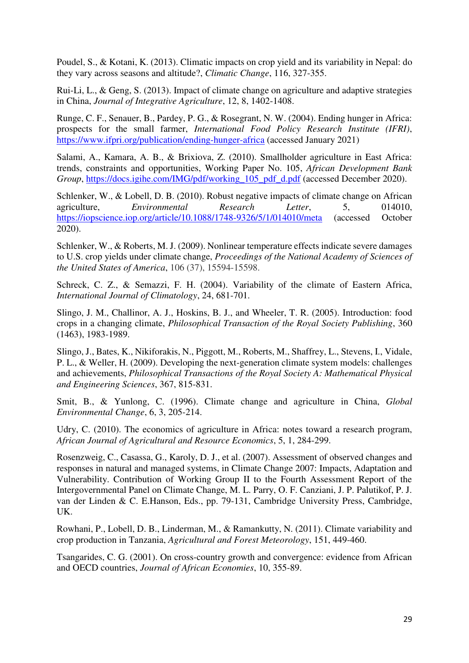Poudel, S., & Kotani, K. (2013). Climatic impacts on crop yield and its variability in Nepal: do they vary across seasons and altitude?, *Climatic Change*, 116, 327-355.

Rui-Li, L., & Geng, S. (2013). Impact of climate change on agriculture and adaptive strategies in China, *Journal of Integrative Agriculture*, 12, 8, 1402-1408.

Runge, C. F., Senauer, B., Pardey, P. G., & Rosegrant, N. W. (2004). Ending hunger in Africa: prospects for the small farmer, *International Food Policy Research Institute (IFRI)*, <https://www.ifpri.org/publication/ending-hunger-africa>(accessed January 2021)

Salami, A., Kamara, A. B., & Brixiova, Z. (2010). Smallholder agriculture in East Africa: trends, constraints and opportunities, Working Paper No. 105, *African Development Bank Group*, [https://docs.igihe.com/IMG/pdf/working\\_105\\_pdf\\_d.pdf](https://docs.igihe.com/IMG/pdf/working_105_pdf_d.pdf) (accessed December 2020).

Schlenker, W., & Lobell, D. B. (2010). Robust negative impacts of climate change on African agriculture, *Environmental Research Letter*, 5, 014010, <https://iopscience.iop.org/article/10.1088/1748-9326/5/1/014010/meta>(accessed October 2020).

Schlenker, W., & Roberts, M. J. (2009). Nonlinear temperature effects indicate severe damages to U.S. crop yields under climate change, *Proceedings of the National Academy of Sciences of the United States of America*, 106 (37), 15594-15598.

Schreck, C. Z., & Semazzi, F. H. (2004). Variability of the climate of Eastern Africa, *International Journal of Climatology*, 24, 681-701.

Slingo, J. M., Challinor, A. J., Hoskins, B. J., and Wheeler, T. R. (2005). Introduction: food crops in a changing climate, *Philosophical Transaction of the Royal Society Publishing*, 360 (1463), 1983-1989.

Slingo, J., Bates, K., Nikiforakis, N., Piggott, M., Roberts, M., Shaffrey, L., Stevens, I., Vidale, P. L., & Weller, H. (2009). Developing the next-generation climate system models: challenges and achievements, *Philosophical Transactions of the Royal Society A: Mathematical Physical and Engineering Sciences*, 367, 815-831.

Smit, B., & Yunlong, C. (1996). Climate change and agriculture in China, *Global Environmental Change*, 6, 3, 205-214.

Udry, C. (2010). The economics of agriculture in Africa: notes toward a research program, *African Journal of Agricultural and Resource Economics*, 5, 1, 284-299.

Rosenzweig, C., Casassa, G., Karoly, D. J., et al. (2007). Assessment of observed changes and responses in natural and managed systems, in Climate Change 2007: Impacts, Adaptation and Vulnerability. Contribution of Working Group II to the Fourth Assessment Report of the Intergovernmental Panel on Climate Change, M. L. Parry, O. F. Canziani, J. P. Palutikof, P. J. van der Linden & C. E.Hanson, Eds., pp. 79-131, Cambridge University Press, Cambridge, UK.

Rowhani, P., Lobell, D. B., Linderman, M., & Ramankutty, N. (2011). Climate variability and crop production in Tanzania, *Agricultural and Forest Meteorology*, 151, 449-460.

Tsangarides, C. G. (2001). On cross-country growth and convergence: evidence from African and OECD countries, *Journal of African Economies*, 10, 355-89.